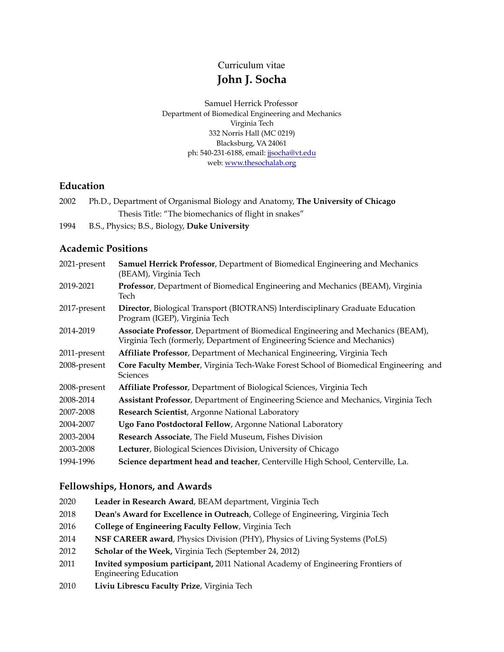Curriculum vitae

# **John J. Socha**

Samuel Herrick Professor Department of Biomedical Engineering and Mechanics Virginia Tech 332 Norris Hall (MC 0219) Blacksburg, VA 24061 ph: 540-231-6188, email: [jjsocha@vt.edu](mailto:jjsocha@vt.edu) web: [www.thesochalab.org](http://www.thesochalab.org)

## **Education**

| 2002 | Ph.D., Department of Organismal Biology and Anatomy, The University of Chicago |
|------|--------------------------------------------------------------------------------|
|      | Thesis Title: "The biomechanics of flight in snakes"                           |

1994 B.S., Physics; B.S., Biology, **Duke University**

## **Academic Positions**

| 2021-present | Samuel Herrick Professor, Department of Biomedical Engineering and Mechanics<br>(BEAM), Virginia Tech                                                                |
|--------------|----------------------------------------------------------------------------------------------------------------------------------------------------------------------|
| 2019-2021    | Professor, Department of Biomedical Engineering and Mechanics (BEAM), Virginia<br>Tech                                                                               |
| 2017-present | Director, Biological Transport (BIOTRANS) Interdisciplinary Graduate Education<br>Program (IGEP), Virginia Tech                                                      |
| 2014-2019    | <b>Associate Professor</b> , Department of Biomedical Engineering and Mechanics (BEAM),<br>Virginia Tech (formerly, Department of Engineering Science and Mechanics) |
| 2011-present | Affiliate Professor, Department of Mechanical Engineering, Virginia Tech                                                                                             |
| 2008-present | Core Faculty Member, Virginia Tech-Wake Forest School of Biomedical Engineering and<br><b>Sciences</b>                                                               |
| 2008-present | Affiliate Professor, Department of Biological Sciences, Virginia Tech                                                                                                |
| 2008-2014    | <b>Assistant Professor</b> , Department of Engineering Science and Mechanics, Virginia Tech                                                                          |
| 2007-2008    | Research Scientist, Argonne National Laboratory                                                                                                                      |
| 2004-2007    | Ugo Fano Postdoctoral Fellow, Argonne National Laboratory                                                                                                            |
| 2003-2004    | Research Associate, The Field Museum, Fishes Division                                                                                                                |
| 2003-2008    | Lecturer, Biological Sciences Division, University of Chicago                                                                                                        |
| 1994-1996    | Science department head and teacher, Centerville High School, Centerville, La.                                                                                       |

## **Fellowships, Honors, and Awards**

- 2020 **Leader in Research Award**, BEAM department, Virginia Tech
- 2018 **Dean's Award for Excellence in Outreach**, College of Engineering, Virginia Tech
- 2016 **College of Engineering Faculty Fellow**, Virginia Tech
- 2014 **NSF CAREER award**, Physics Division (PHY), Physics of Living Systems (PoLS)
- 2012 **Scholar of the Week,** Virginia Tech (September 24, 2012)
- 2011 **Invited symposium participant,** 2011 National Academy of Engineering Frontiers of Engineering Education
- 2010 **Liviu Librescu Faculty Prize**, Virginia Tech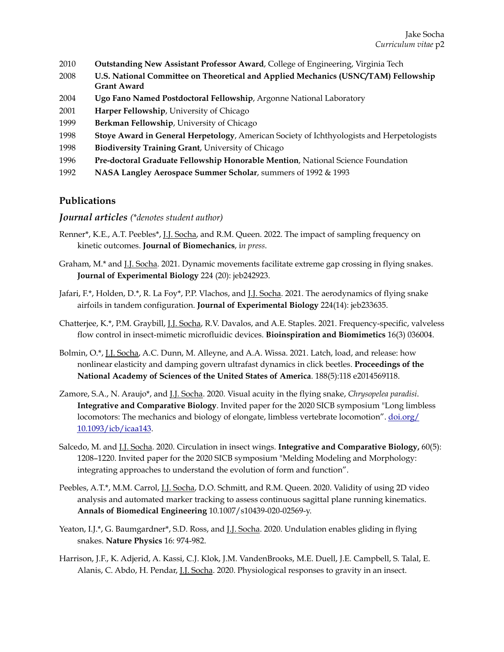- 2010 **Outstanding New Assistant Professor Award**, College of Engineering, Virginia Tech
- 2008 **U.S. National Committee on Theoretical and Applied Mechanics (USNC/TAM) Fellowship Grant Award**
- 2004 **Ugo Fano Named Postdoctoral Fellowship**, Argonne National Laboratory
- 2001 **Harper Fellowship**, University of Chicago
- 1999 **Berkman Fellowship**, University of Chicago
- 1998 **Stoye Award in General Herpetology**, American Society of Ichthyologists and Herpetologists
- 1998 **Biodiversity Training Grant**, University of Chicago
- 1996 **Pre-doctoral Graduate Fellowship Honorable Mention**, National Science Foundation
- 1992 **NASA Langley Aerospace Summer Scholar**, summers of 1992 & 1993

### **Publications**

#### *Journal articles (\*denotes student author)*

- Renner\*, K.E., A.T. Peebles\*, J.J. Socha, and R.M. Queen. 2022. The impact of sampling frequency on kinetic outcomes. **Journal of Biomechanics**, i*n press*.
- Graham, M.\* and J.J. Socha. 2021. Dynamic movements facilitate extreme gap crossing in flying snakes. **Journal of Experimental Biology** 224 (20): jeb242923.
- Jafari, F.\*, Holden, D.\*, R. La Foy\*, P.P. Vlachos, and J.J. Socha. 2021. The aerodynamics of flying snake airfoils in tandem configuration. **Journal of Experimental Biology** 224(14): jeb233635.
- Chatterjee, K.\*, P.M. Graybill, J.J. Socha, R.V. Davalos, and A.E. Staples. 2021. Frequency-specific, valveless flow control in insect-mimetic microfluidic devices. **Bioinspiration and Biomimetics** 16(3) 036004.
- Bolmin, O.\*, J.J. Socha, A.C. Dunn, M. Alleyne, and A.A. Wissa. 2021. Latch, load, and release: how nonlinear elasticity and damping govern ultrafast dynamics in click beetles. **Proceedings of the National Academy of Sciences of the United States of America**. 188(5):118 e2014569118.
- Zamore, S.A., N. Araujo\*, and J.J. Socha. 2020. Visual acuity in the flying snake, *Chrysopelea paradisi*. **Integrative and Comparative Biology**. Invited paper for the 2020 SICB symposium "Long limbless locomotors: The mechanics and biology of elongate, limbless vertebrate locomotion". [doi.org/](http://doi.org/10.1093/icb/icaa143) [10.1093/icb/icaa143](http://doi.org/10.1093/icb/icaa143).
- Salcedo, M. and J.J. Socha. 2020. Circulation in insect wings. **Integrative and Comparative Biology,** 60(5): 1208–1220. Invited paper for the 2020 SICB symposium "Melding Modeling and Morphology: integrating approaches to understand the evolution of form and function".
- Peebles, A.T.\*, M.M. Carrol, J.J. Socha, D.O. Schmitt, and R.M. Queen. 2020. Validity of using 2D video analysis and automated marker tracking to assess continuous sagittal plane running kinematics. **Annals of Biomedical Engineering** 10.1007/s10439-020-02569-y.
- Yeaton, I.J.\*, G. Baumgardner\*, S.D. Ross, and J.J. Socha. 2020. Undulation enables gliding in flying snakes. **Nature Physics** 16: 974-982.
- Harrison, J.F., K. Adjerid, A. Kassi, C.J. Klok, J.M. VandenBrooks, M.E. Duell, J.E. Campbell, S. Talal, E. Alanis, C. Abdo, H. Pendar, J.J. Socha. 2020. Physiological responses to gravity in an insect.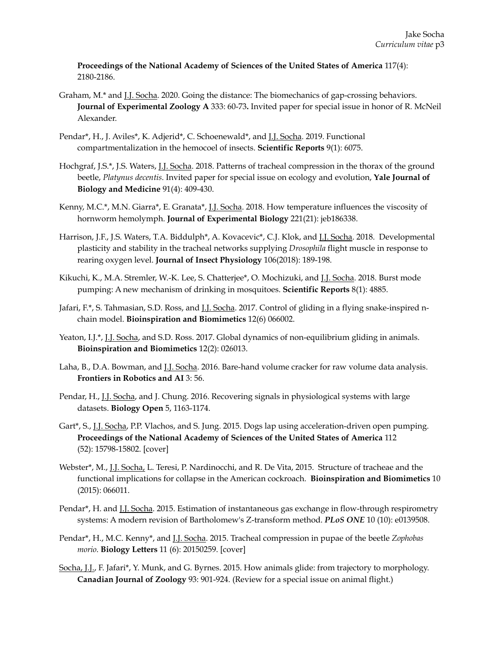**Proceedings of the National Academy of Sciences of the United States of America** 117(4): 2180-2186.

- Graham, M.\* and *J.J. Socha.* 2020. Going the distance: The biomechanics of gap-crossing behaviors. **Journal of Experimental Zoology A** 333: 60-73**.** Invited paper for special issue in honor of R. McNeil Alexander.
- Pendar\*, H., J. Aviles\*, K. Adjerid\*, C. Schoenewald\*, and J.J. Socha. 2019. Functional compartmentalization in the hemocoel of insects. **Scientific Reports** 9(1): 6075.
- Hochgraf, J.S.\*, J.S. Waters, J.J. Socha. 2018. Patterns of tracheal compression in the thorax of the ground beetle, *Platynus decentis*. Invited paper for special issue on ecology and evolution, **Yale Journal of Biology and Medicine** 91(4): 409-430.
- Kenny, M.C.\*, M.N. Giarra\*, E. Granata\*, J.J. Socha. 2018. How temperature influences the viscosity of hornworm hemolymph. **Journal of Experimental Biology** 221(21): jeb186338.
- Harrison, J.F., J.S. Waters, T.A. Biddulph\*, A. Kovacevic\*, C.J. Klok, and J.J. Socha. 2018. Developmental plasticity and stability in the tracheal networks supplying *Drosophila* flight muscle in response to rearing oxygen level. **Journal of Insect Physiology** 106(2018): 189-198.
- Kikuchi, K., M.A. Stremler, W.-K. Lee, S. Chatterjee\*, O. Mochizuki, and J.J. Socha. 2018. Burst mode pumping: A new mechanism of drinking in mosquitoes. **Scientific Reports** 8(1): 4885.
- Jafari, F.\*, S. Tahmasian, S.D. Ross, and J.J. Socha. 2017. Control of gliding in a flying snake-inspired nchain model. **Bioinspiration and Biomimetics** 12(6) 066002.
- Yeaton, I.J.\*, J.J. Socha, and S.D. Ross. 2017. Global dynamics of non-equilibrium gliding in animals. **Bioinspiration and Biomimetics** 12(2): 026013.
- Laha, B., D.A. Bowman, and J.J. Socha. 2016. Bare-hand volume cracker for raw volume data analysis. **Frontiers in Robotics and AI** 3: 56.
- Pendar, H., J.J. Socha, and J. Chung. 2016. Recovering signals in physiological systems with large datasets. **Biology Open** 5, 1163-1174.
- Gart\*, S., J.J. Socha, P.P. Vlachos, and S. Jung. 2015. Dogs lap using acceleration-driven open pumping. **Proceedings of the National Academy of Sciences of the United States of America** 112 (52): 15798-15802. [cover]
- Webster\*, M., J.J. Socha, L. Teresi, P. Nardinocchi, and R. De Vita, 2015. Structure of tracheae and the functional implications for collapse in the American cockroach. **Bioinspiration and Biomimetics** 10 (2015): 066011.
- Pendar\*, H. and J.J. Socha. 2015. Estimation of instantaneous gas exchange in flow-through respirometry systems: A modern revision of Bartholomew's Z-transform method. *PLoS ONE* 10 (10): e0139508.
- Pendar\*, H., M.C. Kenny\*, and J.J. Socha. 2015. Tracheal compression in pupae of the beetle *Zophobas morio*. **Biology Letters** 11 (6): 20150259. [cover]
- Socha, J.J., F. Jafari\*, Y. Munk, and G. Byrnes. 2015. How animals glide: from trajectory to morphology. **Canadian Journal of Zoology** 93: 901-924. (Review for a special issue on animal flight.)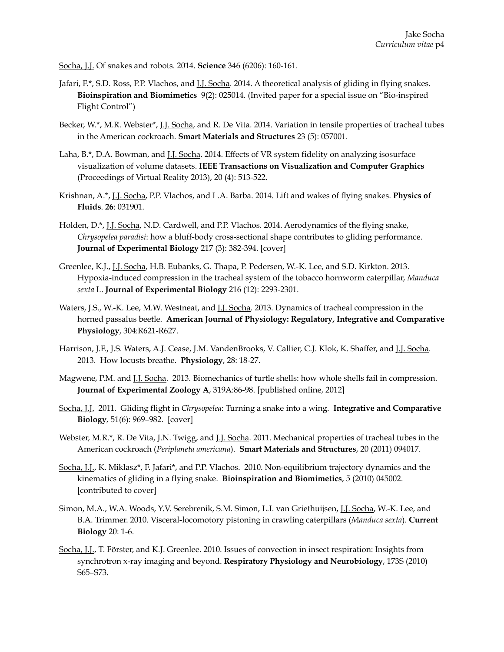Socha, J.J. Of snakes and robots. 2014. **Science** 346 (6206): 160-161.

- Jafari, F.\*, S.D. Ross, P.P. Vlachos, and J.J. Socha. 2014. A theoretical analysis of gliding in flying snakes. **Bioinspiration and Biomimetics** 9(2): 025014. (Invited paper for a special issue on "Bio-inspired Flight Control")
- Becker, W.\*, M.R. Webster\*, J.J. Socha, and R. De Vita. 2014. Variation in tensile properties of tracheal tubes in the American cockroach. **Smart Materials and Structures** 23 (5): 057001.
- Laha, B.\*, D.A. Bowman, and *J.J. Socha*. 2014. Effects of VR system fidelity on analyzing isosurface visualization of volume datasets. **IEEE Transactions on Visualization and Computer Graphics** (Proceedings of Virtual Reality 2013), 20 (4): 513-522.
- Krishnan, A.\*, J.J. Socha, P.P. Vlachos, and L.A. Barba. 2014. Lift and wakes of flying snakes. **Physics of Fluids**. **26**: 031901.
- Holden, D.\*, J.J. Socha, N.D. Cardwell, and P.P. Vlachos. 2014. Aerodynamics of the flying snake, *Chrysopelea paradisi*: how a bluff-body cross-sectional shape contributes to gliding performance. **Journal of Experimental Biology** 217 (3): 382-394. [cover]
- Greenlee, K.J., J.J. Socha, H.B. Eubanks, G. Thapa, P. Pedersen, W.-K. Lee, and S.D. Kirkton. 2013. Hypoxia-induced compression in the tracheal system of the tobacco hornworm caterpillar, *Manduca sexta* L. **Journal of Experimental Biology** 216 (12): 2293-2301.
- Waters, J.S., W.-K. Lee, M.W. Westneat, and *J.J. Socha*. 2013. Dynamics of tracheal compression in the horned passalus beetle. **American Journal of Physiology: Regulatory, Integrative and Comparative Physiology**, 304:R621-R627.
- Harrison, J.F., J.S. Waters, A.J. Cease, J.M. VandenBrooks, V. Callier, C.J. Klok, K. Shaffer, and <u>J.J. Socha</u>. 2013. How locusts breathe. **Physiology**, 28: 18-27.
- Magwene, P.M. and J.J. Socha. 2013. Biomechanics of turtle shells: how whole shells fail in compression. **Journal of Experimental Zoology A**, 319A:86-98. [published online, 2012]
- Socha, J.J. 2011. Gliding flight in *Chrysopelea*: Turning a snake into a wing. **Integrative and Comparative Biology***,* 51(6): 969–982.[cover]
- Webster, M.R.\*, R. De Vita, J.N. Twigg, and *J.J. Socha*. 2011. Mechanical properties of tracheal tubes in the American cockroach (*Periplaneta americana*). **Smart Materials and Structures**, 20 (2011) 094017.
- Socha, J.J., K. Miklasz\*, F. Jafari\*, and P.P. Vlachos. 2010. Non-equilibrium trajectory dynamics and the kinematics of gliding in a flying snake. **Bioinspiration and Biomimetics**, 5 (2010) 045002. [contributed to cover]
- Simon, M.A., W.A. Woods, Y.V. Serebrenik, S.M. Simon, L.I. van Griethuijsen, J.J. Socha, W.-K. Lee, and B.A. Trimmer. 2010. Visceral-locomotory pistoning in crawling caterpillars (*Manduca sexta*). **Current Biology** 20: 1-6.
- Socha, J.J., T. Förster, and K.J. Greenlee. 2010. Issues of convection in insect respiration: Insights from synchrotron x-ray imaging and beyond. **Respiratory Physiology and Neurobiology**, 173S (2010) S65–S73.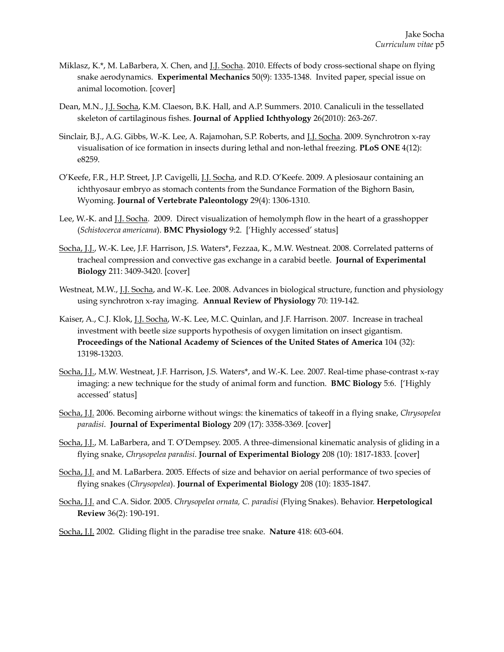- Miklasz, K.\*, M. LaBarbera, X. Chen, and J.J. Socha. 2010. Effects of body cross-sectional shape on flying snake aerodynamics. **Experimental Mechanics** 50(9): 1335-1348. Invited paper, special issue on animal locomotion. [cover]
- Dean, M.N., J.J. Socha, K.M. Claeson, B.K. Hall, and A.P. Summers. 2010. Canaliculi in the tessellated skeleton of cartilaginous fishes. **Journal of Applied Ichthyology** 26(2010): 263-267.
- Sinclair, B.J., A.G. Gibbs, W.-K. Lee, A. Rajamohan, S.P. Roberts, and J.J. Socha. 2009. Synchrotron x-ray visualisation of ice formation in insects during lethal and non-lethal freezing. **PLoS ONE** 4(12): e8259.
- O'Keefe, F.R., H.P. Street, J.P. Cavigelli, J.J. Socha, and R.D. O'Keefe. 2009. A plesiosaur containing an ichthyosaur embryo as stomach contents from the Sundance Formation of the Bighorn Basin, Wyoming. **Journal of Vertebrate Paleontology** 29(4): 1306-1310.
- Lee, W.-K. and <u>J.J. Socha</u>. 2009. Direct visualization of hemolymph flow in the heart of a grasshopper (*Schistocerca americana*). **BMC Physiology** 9:2. ['Highly accessed' status]
- Socha, J.J., W.-K. Lee, J.F. Harrison, J.S. Waters\*, Fezzaa, K., M.W. Westneat. 2008. Correlated patterns of tracheal compression and convective gas exchange in a carabid beetle. **Journal of Experimental Biology** 211: 3409-3420. [cover]
- Westneat, M.W., <u>J.J. Socha</u>, and W.-K. Lee. 2008. Advances in biological structure, function and physiology using synchrotron x-ray imaging. **Annual Review of Physiology** 70: 119-142.
- Kaiser, A., C.J. Klok, J.J. Socha, W.-K. Lee, M.C. Quinlan, and J.F. Harrison. 2007. Increase in tracheal investment with beetle size supports hypothesis of oxygen limitation on insect gigantism. **Proceedings of the National Academy of Sciences of the United States of America** 104 (32): 13198-13203.
- Socha, J.J., M.W. Westneat, J.F. Harrison, J.S. Waters\*, and W.-K. Lee. 2007. Real-time phase-contrast x-ray imaging: a new technique for the study of animal form and function. **BMC Biology** 5:6. ['Highly accessed' status]
- Socha, J.J. 2006. Becoming airborne without wings: the kinematics of takeoff in a flying snake, *Chrysopelea paradisi*. **Journal of Experimental Biology** 209 (17): 3358-3369. [cover]
- Socha, J.J., M. LaBarbera, and T. O'Dempsey. 2005. A three-dimensional kinematic analysis of gliding in a flying snake, *Chrysopelea paradisi*. **Journal of Experimental Biology** 208 (10): 1817-1833. [cover]
- Socha, J.J. and M. LaBarbera. 2005. Effects of size and behavior on aerial performance of two species of flying snakes (*Chrysopelea*). **Journal of Experimental Biology** 208 (10): 1835-1847.
- Socha, J.J. and C.A. Sidor. 2005. *Chrysopelea ornata, C. paradisi* (Flying Snakes). Behavior. **Herpetological Review** 36(2): 190-191.
- Socha, J.J. 2002. Gliding flight in the paradise tree snake. **Nature** 418: 603-604.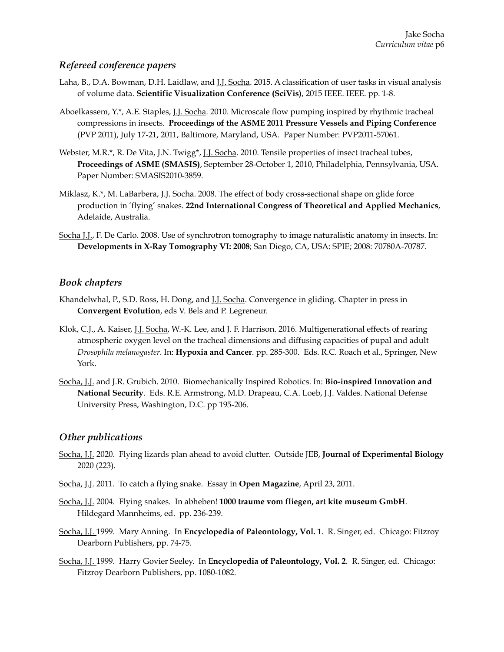## *Refereed conference papers*

- Laha, B., D.A. Bowman, D.H. Laidlaw, and J.J. Socha. 2015. A classification of user tasks in visual analysis of volume data. **Scientific Visualization Conference (SciVis)**, 2015 IEEE. IEEE. pp. 1-8.
- Aboelkassem, Y.\*, A.E. Staples, J.J. Socha. 2010. Microscale flow pumping inspired by rhythmic tracheal compressions in insects. **Proceedings of the ASME 2011 Pressure Vessels and Piping Conference** (PVP 2011), July 17-21, 2011, Baltimore, Maryland, USA. Paper Number: PVP2011-57061.
- Webster, M.R.\*, R. De Vita, J.N. Twigg\*, J.J. Socha. 2010. Tensile properties of insect tracheal tubes, **Proceedings of ASME (SMASIS)**, September 28-October 1, 2010, Philadelphia, Pennsylvania, USA. Paper Number: SMASIS2010-3859.
- Miklasz, K.\*, M. LaBarbera, J.J. Socha. 2008. The effect of body cross-sectional shape on glide force production in 'flying' snakes. **22nd International Congress of Theoretical and Applied Mechanics**, Adelaide, Australia.
- Socha J.J., F. De Carlo. 2008. Use of synchrotron tomography to image naturalistic anatomy in insects. In: **Developments in X-Ray Tomography VI: 2008**; San Diego, CA, USA: SPIE; 2008: 70780A-70787.

### *Book chapters*

- Khandelwhal, P., S.D. Ross, H. Dong, and J.J. Socha. Convergence in gliding. Chapter in press in **Convergent Evolution**, eds V. Bels and P. Legreneur.
- Klok, C.J., A. Kaiser, J.J. Socha, W.-K. Lee, and J. F. Harrison. 2016. Multigenerational effects of rearing atmospheric oxygen level on the tracheal dimensions and diffusing capacities of pupal and adult *Drosophila melanogaster*. In: **Hypoxia and Cancer**. pp. 285-300. Eds. R.C. Roach et al., Springer, New York.
- Socha, J.J. and J.R. Grubich. 2010. Biomechanically Inspired Robotics. In: **Bio-inspired Innovation and National Security**. Eds. R.E. Armstrong, M.D. Drapeau, C.A. Loeb, J.J. Valdes. National Defense University Press, Washington, D.C. pp 195-206.

## *Other publications*

- Socha, J.J. 2020. Flying lizards plan ahead to avoid clutter. Outside JEB, **Journal of Experimental Biology**  2020 (223).
- Socha, J.J. 2011. To catch a flying snake. Essay in **Open Magazine**, April 23, 2011.
- Socha, J.J. 2004. Flying snakes. In abheben! **1000 traume vom fliegen, art kite museum GmbH**. Hildegard Mannheims, ed. pp. 236-239.
- Socha, J.J. 1999. Mary Anning. In **Encyclopedia of Paleontology, Vol. 1**. R. Singer, ed. Chicago: Fitzroy Dearborn Publishers, pp. 74-75.
- Socha, J.J. 1999. Harry Govier Seeley. In **Encyclopedia of Paleontology, Vol. 2**. R. Singer, ed. Chicago: Fitzroy Dearborn Publishers, pp. 1080-1082.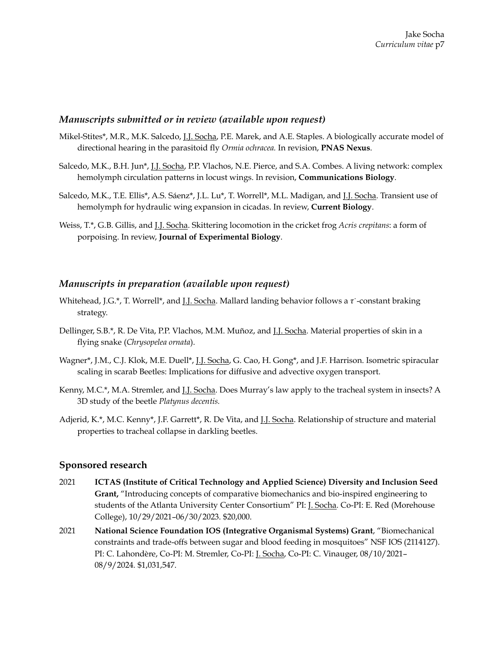### *Manuscripts submitted or in review (available upon request)*

- Mikel-Stites\*, M.R., M.K. Salcedo, J.J. Socha, P.E. Marek, and A.E. Staples. A biologically accurate model of directional hearing in the parasitoid fly *Ormia ochracea.* In revision, **PNAS Nexus**.
- Salcedo, M.K., B.H. Jun\*, J.J. Socha, P.P. Vlachos, N.E. Pierce, and S.A. Combes. A living network: complex hemolymph circulation patterns in locust wings. In revision, **Communications Biology**.
- Salcedo, M.K., T.E. Ellis\*, A.S. Sáenz\*, J.L. Lu\*, T. Worrell\*, M.L. Madigan, and J.J. Socha. Transient use of hemolymph for hydraulic wing expansion in cicadas. In review, **Current Biology**.
- Weiss, T.\*, G.B. Gillis, and J.J. Socha. Skittering locomotion in the cricket frog *Acris crepitans*: a form of porpoising. In review, **Journal of Experimental Biology**.

#### *Manuscripts in preparation (available upon request)*

- Whitehead, J.G.\*, T. Worrell\*, and J.J. Socha. Mallard landing behavior follows a  $\tau$ -constant braking strategy.
- Dellinger, S.B.\*, R. De Vita, P.P. Vlachos, M.M. Muñoz, and J.J. Socha. Material properties of skin in a flying snake (*Chrysopelea ornata*).
- Wagner\*, J.M., C.J. Klok, M.E. Duell\*, J.J. Socha, G. Cao, H. Gong\*, and J.F. Harrison. Isometric spiracular scaling in scarab Beetles: Implications for diffusive and advective oxygen transport.
- Kenny, M.C.\*, M.A. Stremler, and J.J. Socha. Does Murray's law apply to the tracheal system in insects? A 3D study of the beetle *Platynus decentis.*
- Adjerid, K.\*, M.C. Kenny\*, J.F. Garrett\*, R. De Vita, and J.J. Socha. Relationship of structure and material properties to tracheal collapse in darkling beetles.

#### **Sponsored research**

- 2021 **ICTAS (Institute of Critical Technology and Applied Science) Diversity and Inclusion Seed Grant,** "Introducing concepts of comparative biomechanics and bio-inspired engineering to students of the Atlanta University Center Consortium" PI: J. Socha. Co-PI: E. Red (Morehouse College), 10/29/2021–06/30/2023. \$20,000.
- 2021 **National Science Foundation IOS (Integrative Organismal Systems) Grant**, "Biomechanical constraints and trade-offs between sugar and blood feeding in mosquitoes" NSF IOS (2114127). PI: C. Lahondère, Co-PI: M. Stremler, Co-PI: J. Socha, Co-PI: C. Vinauger, 08/10/2021– 08/9/2024*.* \$1,031,547.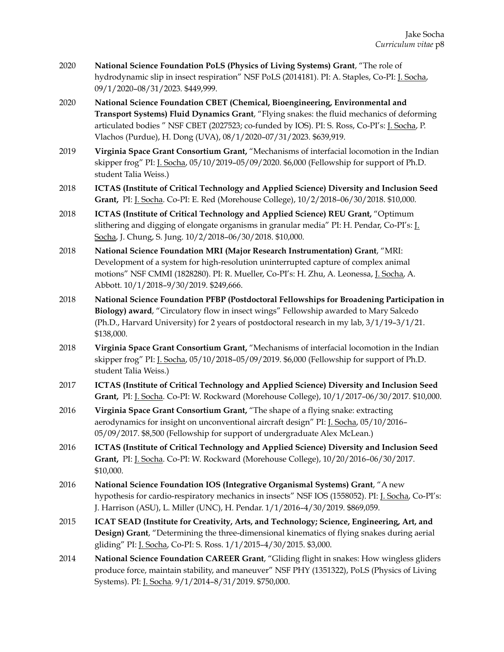- 2020 **National Science Foundation PoLS (Physics of Living Systems) Grant**, "The role of hydrodynamic slip in insect respiration" NSF PoLS (2014181). PI: A. Staples, Co-PI: J. Socha, 09/1/2020–08/31/2023*.* \$449,999.
- 2020 **National Science Foundation CBET (Chemical, Bioengineering, Environmental and Transport Systems) Fluid Dynamics Grant**, "Flying snakes: the fluid mechanics of deforming articulated bodies " NSF CBET (2027523; co-funded by IOS). PI: S. Ross, Co-PI's: J. Socha, P. Vlachos (Purdue), H. Dong (UVA), 08/1/2020–07/31/2023. \$639,919.
- 2019 **Virginia Space Grant Consortium Grant,** "Mechanisms of interfacial locomotion in the Indian skipper frog" PI: J. Socha, 05/10/2019–05/09/2020. \$6,000 (Fellowship for support of Ph.D. student Talia Weiss.)
- 2018 **ICTAS (Institute of Critical Technology and Applied Science) Diversity and Inclusion Seed Grant,** PI: J. Socha. Co-PI: E. Red (Morehouse College), 10/2/2018–06/30/2018. \$10,000.
- 2018 **ICTAS (Institute of Critical Technology and Applied Science) REU Grant,** "Optimum slithering and digging of elongate organisms in granular media" PI: H. Pendar, Co-PI's: J. Socha, J. Chung, S. Jung. 10/2/2018–06/30/2018. \$10,000.
- 2018 **National Science Foundation MRI (Major Research Instrumentation) Grant**, "MRI: Development of a system for high-resolution uninterrupted capture of complex animal motions" NSF CMMI (1828280). PI: R. Mueller, Co-PI's: H. Zhu, A. Leonessa, J. Socha, A. Abbott. 10/1/2018–9/30/2019. \$249,666.
- 2018 **National Science Foundation PFBP (Postdoctoral Fellowships for Broadening Participation in Biology) award**, "Circulatory flow in insect wings" Fellowship awarded to Mary Salcedo (Ph.D., Harvard University) for 2 years of postdoctoral research in my lab, 3/1/19–3/1/21. \$138,000.
- 2018 **Virginia Space Grant Consortium Grant,** "Mechanisms of interfacial locomotion in the Indian skipper frog" PI: J. Socha, 05/10/2018–05/09/2019. \$6,000 (Fellowship for support of Ph.D. student Talia Weiss.)
- 2017 **ICTAS (Institute of Critical Technology and Applied Science) Diversity and Inclusion Seed Grant,** PI: J. Socha. Co-PI: W. Rockward (Morehouse College), 10/1/2017–06/30/2017. \$10,000.
- 2016 **Virginia Space Grant Consortium Grant,** "The shape of a flying snake: extracting aerodynamics for insight on unconventional aircraft design" PI: J. Socha, 05/10/2016– 05/09/2017. \$8,500 (Fellowship for support of undergraduate Alex McLean.)
- 2016 **ICTAS (Institute of Critical Technology and Applied Science) Diversity and Inclusion Seed Grant,** PI: J. Socha. Co-PI: W. Rockward (Morehouse College), 10/20/2016–06/30/2017. \$10,000.
- 2016 **National Science Foundation IOS (Integrative Organismal Systems) Grant**, "A new hypothesis for cardio-respiratory mechanics in insects" NSF IOS (1558052). PI: J. Socha, Co-PI's: J. Harrison (ASU), L. Miller (UNC), H. Pendar. 1/1/2016–4/30/2019. \$869,059.
- 2015 **ICAT SEAD (Institute for Creativity, Arts, and Technology; Science, Engineering, Art, and Design) Grant**, "Determining the three-dimensional kinematics of flying snakes during aerial gliding" PI: J. Socha, Co-PI: S. Ross. 1/1/2015–4/30/2015. \$3,000.
- 2014 **National Science Foundation CAREER Grant**, "Gliding flight in snakes: How wingless gliders produce force, maintain stability, and maneuver" NSF PHY (1351322), PoLS (Physics of Living Systems). PI: J. Socha. 9/1/2014–8/31/2019. \$750,000.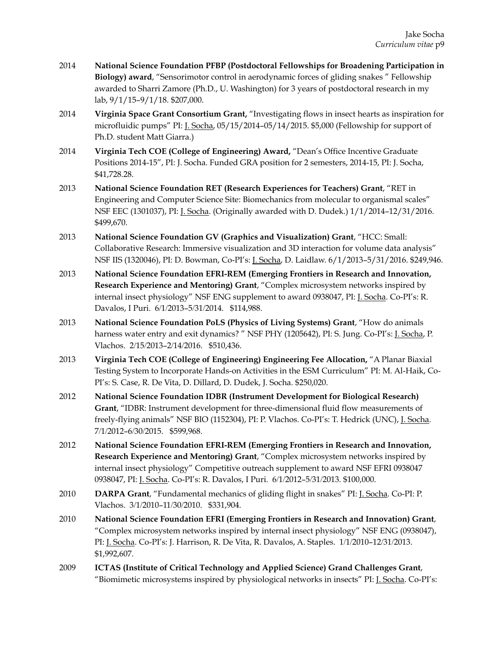- 2014 **National Science Foundation PFBP (Postdoctoral Fellowships for Broadening Participation in Biology) award**, "Sensorimotor control in aerodynamic forces of gliding snakes " Fellowship awarded to Sharri Zamore (Ph.D., U. Washington) for 3 years of postdoctoral research in my lab, 9/1/15–9/1/18. \$207,000.
- 2014 **Virginia Space Grant Consortium Grant,** "Investigating flows in insect hearts as inspiration for microfluidic pumps" PI: J. Socha, 05/15/2014–05/14/2015. \$5,000 (Fellowship for support of Ph.D. student Matt Giarra.)
- 2014 **Virginia Tech COE (College of Engineering) Award,** "Dean's Office Incentive Graduate Positions 2014-15", PI: J. Socha. Funded GRA position for 2 semesters, 2014-15, PI: J. Socha, \$41,728.28.
- 2013 **National Science Foundation RET (Research Experiences for Teachers) Grant**, "RET in Engineering and Computer Science Site: Biomechanics from molecular to organismal scales" NSF EEC (1301037), PI: J. Socha. (Originally awarded with D. Dudek.) 1/1/2014–12/31/2016. \$499,670.
- 2013 **National Science Foundation GV (Graphics and Visualization) Grant**, "HCC: Small: Collaborative Research: Immersive visualization and 3D interaction for volume data analysis" NSF IIS (1320046), PI: D. Bowman, Co-PI's: J. Socha, D. Laidlaw. 6/1/2013–5/31/2016. \$249,946.
- 2013 **National Science Foundation EFRI-REM (Emerging Frontiers in Research and Innovation, Research Experience and Mentoring) Grant**, "Complex microsystem networks inspired by internal insect physiology" NSF ENG supplement to award 0938047, PI: J. Socha. Co-PI's: R. Davalos, I Puri. 6/1/2013–5/31/2014. \$114,988.
- 2013 **National Science Foundation PoLS (Physics of Living Systems) Grant**, "How do animals harness water entry and exit dynamics? " NSF PHY (1205642), PI: S. Jung. Co-PI's: J. Socha, P. Vlachos. 2/15/2013–2/14/2016. \$510,436.
- 2013 **Virginia Tech COE (College of Engineering) Engineering Fee Allocation,** "A Planar Biaxial Testing System to Incorporate Hands-on Activities in the ESM Curriculum" PI: M. Al-Haik, Co-PI's: S. Case, R. De Vita, D. Dillard, D. Dudek, J. Socha. \$250,020.
- 2012 **National Science Foundation IDBR (Instrument Development for Biological Research) Grant**, "IDBR: Instrument development for three-dimensional fluid flow measurements of freely-flying animals" NSF BIO (1152304), PI: P. Vlachos. Co-PI's: T. Hedrick (UNC), J. Socha. 7/1/2012–6/30/2015. \$599,968.
- 2012 **National Science Foundation EFRI-REM (Emerging Frontiers in Research and Innovation, Research Experience and Mentoring) Grant**, "Complex microsystem networks inspired by internal insect physiology" Competitive outreach supplement to award NSF EFRI 0938047 0938047, PI: J. Socha. Co-PI's: R. Davalos, I Puri. 6/1/2012–5/31/2013. \$100,000.
- 2010 **DARPA Grant**, "Fundamental mechanics of gliding flight in snakes" PI: J. Socha. Co-PI: P. Vlachos. 3/1/2010–11/30/2010. \$331,904.
- 2010 **National Science Foundation EFRI (Emerging Frontiers in Research and Innovation) Grant**, "Complex microsystem networks inspired by internal insect physiology" NSF ENG (0938047), PI: J. Socha. Co-PI's: J. Harrison, R. De Vita, R. Davalos, A. Staples. 1/1/2010–12/31/2013. \$1,992,607.
- 2009 **ICTAS (Institute of Critical Technology and Applied Science) Grand Challenges Grant**, "Biomimetic microsystems inspired by physiological networks in insects" PI: J. Socha. Co-PI's: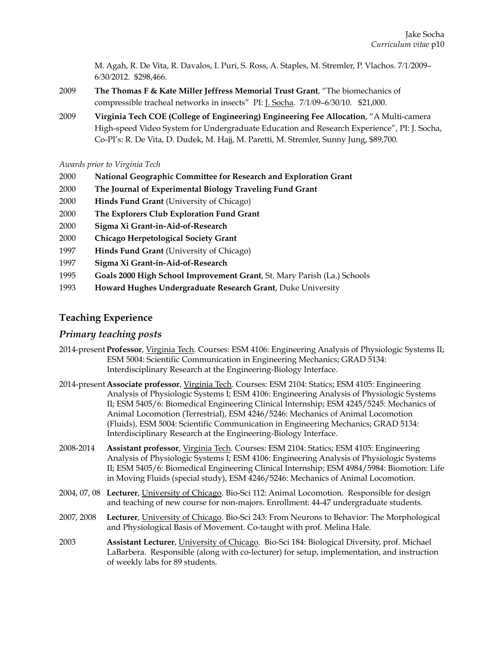M. Agah, R. De Vita, R. Davalos, I. Puri, S. Ross, A. Staples, M. Stremler, P. Vlachos. 7/1/2009– 6/30/2012. \$298,466.

- 2009 **The Thomas F & Kate Miller Jeffress Memorial Trust Grant**, "The biomechanics of compressible tracheal networks in insects" PI: J. Socha. 7/1/09–6/30/10. \$21,000.
- 2009 **Virginia Tech COE (College of Engineering) Engineering Fee Allocation**, "A Multi-camera High-speed Video System for Undergraduate Education and Research Experience", PI: J. Socha, Co-PI's: R. De Vita, D. Dudek, M. Hajj, M. Paretti, M. Stremler, Sunny Jung, \$89,700.

*Awards prior to Virginia Tech* 

- 2000 **National Geographic Committee for Research and Exploration Grant**
- 2000 **The Journal of Experimental Biology Traveling Fund Grant**
- 2000 **Hinds Fund Grant** (University of Chicago)
- 2000 **The Explorers Club Exploration Fund Grant**
- 2000 **Sigma Xi Grant-in-Aid-of-Research**
- 2000 **Chicago Herpetological Society Grant**
- 1997 **Hinds Fund Grant** (University of Chicago)
- 1997 **Sigma Xi Grant-in-Aid-of-Research**
- 1995 **Goals 2000 High School Improvement Grant**, St. Mary Parish (La.) Schools
- 1993 **Howard Hughes Undergraduate Research Grant**, Duke University

## **Teaching Experience**

## *Primary teaching posts*

- 2014-present **Professor**, Virginia Tech. Courses: ESM 4106: Engineering Analysis of Physiologic Systems II; ESM 5004: Scientific Communication in Engineering Mechanics; GRAD 5134: Interdisciplinary Research at the Engineering-Biology Interface.
- 2014-present **Associate professor**, Virginia Tech. Courses: ESM 2104: Statics; ESM 4105: Engineering Analysis of Physiologic Systems I; ESM 4106: Engineering Analysis of Physiologic Systems II; ESM 5405/6: Biomedical Engineering Clinical Internship; ESM 4245/5245: Mechanics of Animal Locomotion (Terrestrial), ESM 4246/5246: Mechanics of Animal Locomotion (Fluids), ESM 5004: Scientific Communication in Engineering Mechanics; GRAD 5134: Interdisciplinary Research at the Engineering-Biology Interface.
- 2008-2014 **Assistant professor**, Virginia Tech. Courses: ESM 2104: Statics; ESM 4105: Engineering Analysis of Physiologic Systems I; ESM 4106: Engineering Analysis of Physiologic Systems II; ESM 5405/6: Biomedical Engineering Clinical Internship; ESM 4984/5984: Biomotion: Life in Moving Fluids (special study), ESM 4246/5246: Mechanics of Animal Locomotion.
- 2004, 07, 08 **Lecturer**, University of Chicago. Bio-Sci 112: Animal Locomotion. Responsible for design and teaching of new course for non-majors. Enrollment: 44-47 undergraduate students.
- 2007, 2008 **Lecturer**, University of Chicago. Bio-Sci 243: From Neurons to Behavior: The Morphological and Physiological Basis of Movement. Co-taught with prof. Melina Hale.
- 2003 **Assistant Lecturer**, University of Chicago. Bio-Sci 184: Biological Diversity, prof. Michael LaBarbera. Responsible (along with co-lecturer) for setup, implementation, and instruction of weekly labs for 89 students.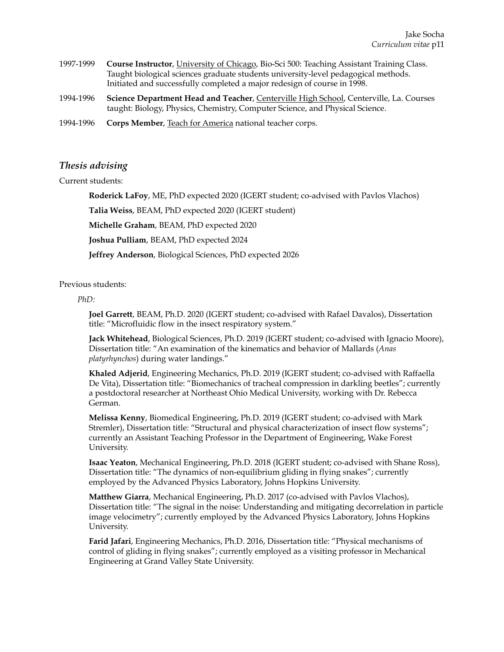- 1997-1999 **Course Instructor**, University of Chicago, Bio-Sci 500: Teaching Assistant Training Class. Taught biological sciences graduate students university-level pedagogical methods. Initiated and successfully completed a major redesign of course in 1998.
- 1994-1996 **Science Department Head and Teacher**, Centerville High School, Centerville, La. Courses taught: Biology, Physics, Chemistry, Computer Science, and Physical Science.
- 1994-1996 **Corps Member**, Teach for America national teacher corps.

### *Thesis advising*

#### Current students:

**Roderick LaFoy**, ME, PhD expected 2020 (IGERT student; co-advised with Pavlos Vlachos)

**Talia Weiss**, BEAM, PhD expected 2020 (IGERT student)

**Michelle Graham**, BEAM, PhD expected 2020

**Joshua Pulliam**, BEAM, PhD expected 2024

**Jeffrey Anderson**, Biological Sciences, PhD expected 2026

#### Previous students:

#### *PhD:*

**Joel Garrett**, BEAM, Ph.D. 2020 (IGERT student; co-advised with Rafael Davalos), Dissertation title: "Microfluidic flow in the insect respiratory system."

**Jack Whitehead**, Biological Sciences, Ph.D. 2019 (IGERT student; co-advised with Ignacio Moore), Dissertation title: "An examination of the kinematics and behavior of Mallards (*Anas platyrhynchos*) during water landings."

**Khaled Adjerid**, Engineering Mechanics, Ph.D. 2019 (IGERT student; co-advised with Raffaella De Vita), Dissertation title: "Biomechanics of tracheal compression in darkling beetles"; currently a postdoctoral researcher at Northeast Ohio Medical University, working with Dr. Rebecca German.

**Melissa Kenny**, Biomedical Engineering, Ph.D. 2019 (IGERT student; co-advised with Mark Stremler), Dissertation title: "Structural and physical characterization of insect flow systems"; currently an Assistant Teaching Professor in the Department of Engineering, Wake Forest University.

**Isaac Yeaton**, Mechanical Engineering, Ph.D. 2018 (IGERT student; co-advised with Shane Ross), Dissertation title: "The dynamics of non-equilibrium gliding in flying snakes"; currently employed by the Advanced Physics Laboratory, Johns Hopkins University.

**Matthew Giarra**, Mechanical Engineering, Ph.D. 2017 (co-advised with Pavlos Vlachos), Dissertation title: "The signal in the noise: Understanding and mitigating decorrelation in particle image velocimetry"; currently employed by the Advanced Physics Laboratory, Johns Hopkins University.

**Farid Jafari**, Engineering Mechanics, Ph.D. 2016, Dissertation title: "Physical mechanisms of control of gliding in flying snakes"; currently employed as a visiting professor in Mechanical Engineering at Grand Valley State University.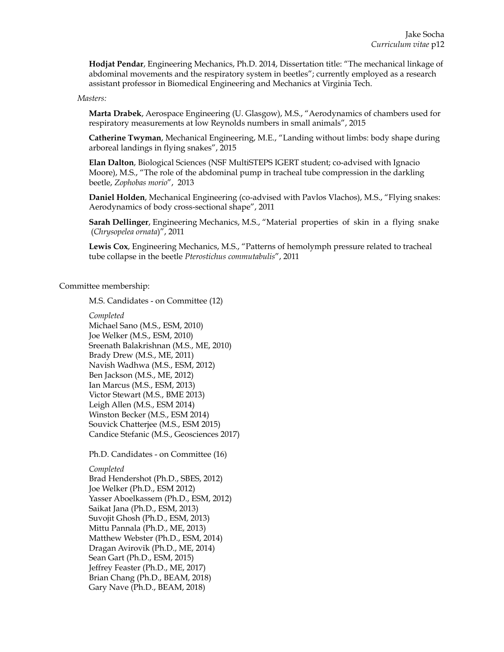**Hodjat Pendar**, Engineering Mechanics, Ph.D. 2014, Dissertation title: "The mechanical linkage of abdominal movements and the respiratory system in beetles"; currently employed as a research assistant professor in Biomedical Engineering and Mechanics at Virginia Tech.

#### *Masters:*

**Marta Drabek**, Aerospace Engineering (U. Glasgow), M.S., "Aerodynamics of chambers used for respiratory measurements at low Reynolds numbers in small animals", 2015

**Catherine Twyman**, Mechanical Engineering, M.E., "Landing without limbs: body shape during arboreal landings in flying snakes", 2015

**Elan Dalton**, Biological Sciences (NSF MultiSTEPS IGERT student; co-advised with Ignacio Moore), M.S., "The role of the abdominal pump in tracheal tube compression in the darkling beetle, *Zophobas morio*", 2013

**Daniel Holden**, Mechanical Engineering (co-advised with Pavlos Vlachos), M.S., "Flying snakes: Aerodynamics of body cross-sectional shape", 2011

**Sarah Dellinger**, Engineering Mechanics, M.S., "Material properties of skin in a flying snake (*Chrysopelea ornata*)", 2011

**Lewis Cox**, Engineering Mechanics, M.S., "Patterns of hemolymph pressure related to tracheal tube collapse in the beetle *Pterostichus commutabulis*", 2011

#### Committee membership:

M.S. Candidates - on Committee (12)

*Completed* 

Michael Sano (M.S., ESM, 2010) Joe Welker (M.S., ESM, 2010) Sreenath Balakrishnan (M.S., ME, 2010) Brady Drew (M.S., ME, 2011) Navish Wadhwa (M.S., ESM, 2012) Ben Jackson (M.S., ME, 2012) Ian Marcus (M.S., ESM, 2013) Victor Stewart (M.S., BME 2013) Leigh Allen (M.S., ESM 2014) Winston Becker (M.S., ESM 2014) Souvick Chatterjee (M.S., ESM 2015) Candice Stefanic (M.S., Geosciences 2017)

Ph.D. Candidates - on Committee (16)

#### *Completed*

Brad Hendershot (Ph.D., SBES, 2012) Joe Welker (Ph.D., ESM 2012) Yasser Aboelkassem (Ph.D., ESM, 2012) Saikat Jana (Ph.D., ESM, 2013) Suvojit Ghosh (Ph.D., ESM, 2013) Mittu Pannala (Ph.D., ME, 2013) Matthew Webster (Ph.D., ESM, 2014) Dragan Avirovik (Ph.D., ME, 2014) Sean Gart (Ph.D., ESM, 2015) Jeffrey Feaster (Ph.D., ME, 2017) Brian Chang (Ph.D., BEAM, 2018) Gary Nave (Ph.D., BEAM, 2018)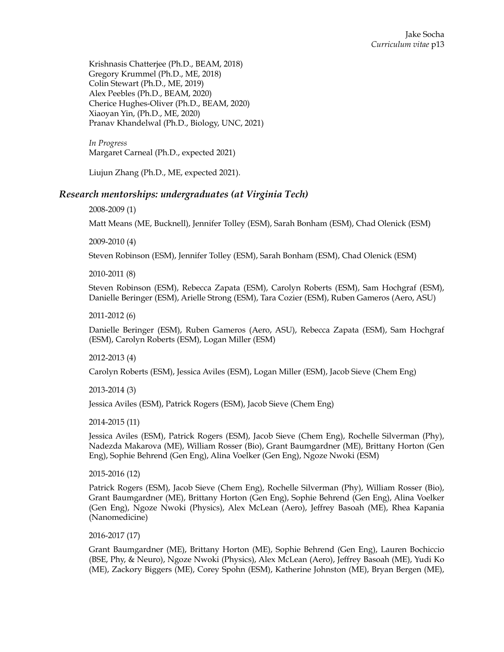Krishnasis Chatterjee (Ph.D., BEAM, 2018) Gregory Krummel (Ph.D., ME, 2018) Colin Stewart (Ph.D., ME, 2019) Alex Peebles (Ph.D., BEAM, 2020) Cherice Hughes-Oliver (Ph.D., BEAM, 2020) Xiaoyan Yin, (Ph.D., ME, 2020) Pranav Khandelwal (Ph.D., Biology, UNC, 2021)

*In Progress*  Margaret Carneal (Ph.D., expected 2021)

Liujun Zhang (Ph.D., ME, expected 2021).

## *Research mentorships: undergraduates (at Virginia Tech)*

#### 2008-2009 (1)

Matt Means (ME, Bucknell), Jennifer Tolley (ESM), Sarah Bonham (ESM), Chad Olenick (ESM)

2009-2010 (4)

Steven Robinson (ESM), Jennifer Tolley (ESM), Sarah Bonham (ESM), Chad Olenick (ESM)

2010-2011 (8)

Steven Robinson (ESM), Rebecca Zapata (ESM), Carolyn Roberts (ESM), Sam Hochgraf (ESM), Danielle Beringer (ESM), Arielle Strong (ESM), Tara Cozier (ESM), Ruben Gameros (Aero, ASU)

#### 2011-2012 (6)

Danielle Beringer (ESM), Ruben Gameros (Aero, ASU), Rebecca Zapata (ESM), Sam Hochgraf (ESM), Carolyn Roberts (ESM), Logan Miller (ESM)

2012-2013 (4)

Carolyn Roberts (ESM), Jessica Aviles (ESM), Logan Miller (ESM), Jacob Sieve (Chem Eng)

2013-2014 (3)

Jessica Aviles (ESM), Patrick Rogers (ESM), Jacob Sieve (Chem Eng)

2014-2015 (11)

Jessica Aviles (ESM), Patrick Rogers (ESM), Jacob Sieve (Chem Eng), Rochelle Silverman (Phy), Nadezda Makarova (ME), William Rosser (Bio), Grant Baumgardner (ME), Brittany Horton (Gen Eng), Sophie Behrend (Gen Eng), Alina Voelker (Gen Eng), Ngoze Nwoki (ESM)

2015-2016 (12)

Patrick Rogers (ESM), Jacob Sieve (Chem Eng), Rochelle Silverman (Phy), William Rosser (Bio), Grant Baumgardner (ME), Brittany Horton (Gen Eng), Sophie Behrend (Gen Eng), Alina Voelker (Gen Eng), Ngoze Nwoki (Physics), Alex McLean (Aero), Jeffrey Basoah (ME), Rhea Kapania (Nanomedicine)

2016-2017 (17)

Grant Baumgardner (ME), Brittany Horton (ME), Sophie Behrend (Gen Eng), Lauren Bochiccio (BSE, Phy, & Neuro), Ngoze Nwoki (Physics), Alex McLean (Aero), Jeffrey Basoah (ME), Yudi Ko (ME), Zackory Biggers (ME), Corey Spohn (ESM), Katherine Johnston (ME), Bryan Bergen (ME),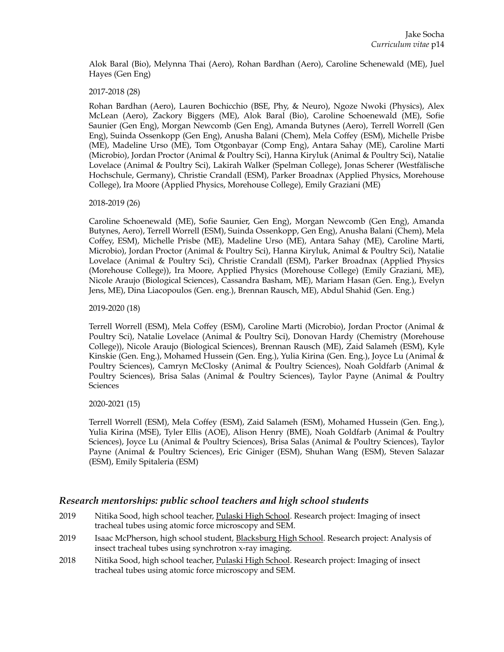Alok Baral (Bio), Melynna Thai (Aero), Rohan Bardhan (Aero), Caroline Schenewald (ME), Juel Hayes (Gen Eng)

#### 2017-2018 (28)

Rohan Bardhan (Aero), Lauren Bochicchio (BSE, Phy, & Neuro), Ngoze Nwoki (Physics), Alex McLean (Aero), Zackory Biggers (ME), Alok Baral (Bio), Caroline Schoenewald (ME), Sofie Saunier (Gen Eng), Morgan Newcomb (Gen Eng), Amanda Butynes (Aero), Terrell Worrell (Gen Eng), Suinda Ossenkopp (Gen Eng), Anusha Balani (Chem), Mela Coffey (ESM), Michelle Prisbe (ME), Madeline Urso (ME), Tom Otgonbayar (Comp Eng), Antara Sahay (ME), Caroline Marti (Microbio), Jordan Proctor (Animal & Poultry Sci), Hanna Kiryluk (Animal & Poultry Sci), Natalie Lovelace (Animal & Poultry Sci), Lakirah Walker (Spelman College), Jonas Scherer (Westfälische Hochschule, Germany), Christie Crandall (ESM), Parker Broadnax (Applied Physics, Morehouse College), Ira Moore (Applied Physics, Morehouse College), Emily Graziani (ME)

#### 2018-2019 (26)

Caroline Schoenewald (ME), Sofie Saunier, Gen Eng), Morgan Newcomb (Gen Eng), Amanda Butynes, Aero), Terrell Worrell (ESM), Suinda Ossenkopp, Gen Eng), Anusha Balani (Chem), Mela Coffey, ESM), Michelle Prisbe (ME), Madeline Urso (ME), Antara Sahay (ME), Caroline Marti, Microbio), Jordan Proctor (Animal & Poultry Sci), Hanna Kiryluk, Animal & Poultry Sci), Natalie Lovelace (Animal & Poultry Sci), Christie Crandall (ESM), Parker Broadnax (Applied Physics (Morehouse College)), Ira Moore, Applied Physics (Morehouse College) (Emily Graziani, ME), Nicole Araujo (Biological Sciences), Cassandra Basham, ME), Mariam Hasan (Gen. Eng.), Evelyn Jens, ME), Dina Liacopoulos (Gen. eng.), Brennan Rausch, ME), Abdul Shahid (Gen. Eng.)

#### 2019-2020 (18)

Terrell Worrell (ESM), Mela Coffey (ESM), Caroline Marti (Microbio), Jordan Proctor (Animal & Poultry Sci), Natalie Lovelace (Animal & Poultry Sci), Donovan Hardy (Chemistry (Morehouse College)), Nicole Araujo (Biological Sciences), Brennan Rausch (ME), Zaid Salameh (ESM), Kyle Kinskie (Gen. Eng.), Mohamed Hussein (Gen. Eng.), Yulia Kirina (Gen. Eng.), Joyce Lu (Animal & Poultry Sciences), Camryn McClosky (Animal & Poultry Sciences), Noah Goldfarb (Animal & Poultry Sciences), Brisa Salas (Animal & Poultry Sciences), Taylor Payne (Animal & Poultry **Sciences** 

#### 2020-2021 (15)

Terrell Worrell (ESM), Mela Coffey (ESM), Zaid Salameh (ESM), Mohamed Hussein (Gen. Eng.), Yulia Kirina (MSE), Tyler Ellis (AOE), Alison Henry (BME), Noah Goldfarb (Animal & Poultry Sciences), Joyce Lu (Animal & Poultry Sciences), Brisa Salas (Animal & Poultry Sciences), Taylor Payne (Animal & Poultry Sciences), Eric Giniger (ESM), Shuhan Wang (ESM), Steven Salazar (ESM), Emily Spitaleria (ESM)

## *Research mentorships: public school teachers and high school students*

- 2019 Nitika Sood, high school teacher, Pulaski High School. Research project: Imaging of insect tracheal tubes using atomic force microscopy and SEM.
- 2019 Isaac McPherson, high school student, Blacksburg High School. Research project: Analysis of insect tracheal tubes using synchrotron x-ray imaging.
- 2018 Nitika Sood, high school teacher, Pulaski High School. Research project: Imaging of insect tracheal tubes using atomic force microscopy and SEM.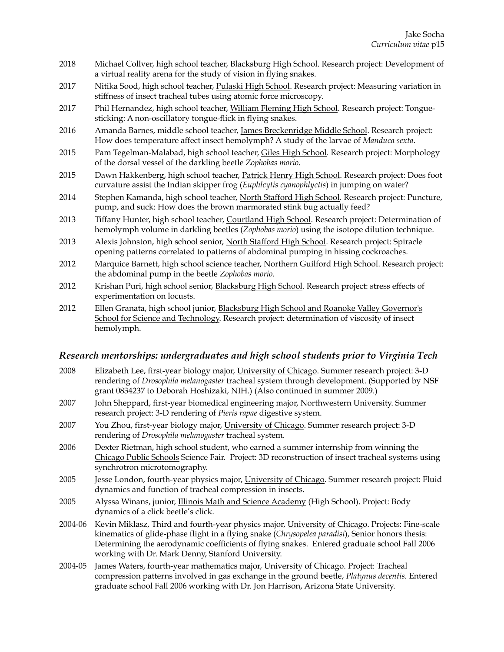- 2018 Michael Collver, high school teacher, Blacksburg High School. Research project: Development of a virtual reality arena for the study of vision in flying snakes.
- 2017 Nitika Sood, high school teacher, Pulaski High School. Research project: Measuring variation in stiffness of insect tracheal tubes using atomic force microscopy.
- 2017 Phil Hernandez, high school teacher, William Fleming High School. Research project: Tonguesticking: A non-oscillatory tongue-flick in flying snakes.
- 2016 Amanda Barnes, middle school teacher, James Breckenridge Middle School. Research project: How does temperature affect insect hemolymph? A study of the larvae of *Manduca sexta*.
- 2015 Pam Tegelman-Malabad, high school teacher, Giles High School. Research project: Morphology of the dorsal vessel of the darkling beetle *Zophobas morio*.
- 2015 Dawn Hakkenberg, high school teacher, Patrick Henry High School. Research project: Does foot curvature assist the Indian skipper frog (*Euphlcytis cyanophlyctis*) in jumping on water?
- 2014 Stephen Kamanda, high school teacher, North Stafford High School. Research project: Puncture, pump, and suck: How does the brown marmorated stink bug actually feed?
- 2013 Tiffany Hunter, high school teacher, Courtland High School. Research project: Determination of hemolymph volume in darkling beetles (*Zophobas morio*) using the isotope dilution technique.
- 2013 Alexis Johnston, high school senior, North Stafford High School. Research project: Spiracle opening patterns correlated to patterns of abdominal pumping in hissing cockroaches.
- 2012 Marquice Barnett, high school science teacher, Northern Guilford High School. Research project: the abdominal pump in the beetle *Zophobas morio*.
- 2012 Krishan Puri, high school senior, Blacksburg High School. Research project: stress effects of experimentation on locusts.
- 2012 Ellen Granata, high school junior, Blacksburg High School and Roanoke Valley Governor's School for Science and Technology. Research project: determination of viscosity of insect hemolymph.

## *Research mentorships: undergraduates and high school students prior to Virginia Tech*

- 2008 Elizabeth Lee, first-year biology major, University of Chicago. Summer research project: 3-D rendering of *Drosophila melanogaster* tracheal system through development. (Supported by NSF grant 0834237 to Deborah Hoshizaki, NIH.) (Also continued in summer 2009.)
- 2007 John Sheppard, first-year biomedical engineering major, Northwestern University. Summer research project: 3-D rendering of *Pieris rapae* digestive system.
- 2007 You Zhou, first-year biology major, University of Chicago. Summer research project: 3-D rendering of *Drosophila melanogaster* tracheal system.
- 2006 Dexter Rietman, high school student, who earned a summer internship from winning the Chicago Public Schools Science Fair. Project: 3D reconstruction of insect tracheal systems using synchrotron microtomography.
- 2005 Jesse London, fourth-year physics major, University of Chicago. Summer research project: Fluid dynamics and function of tracheal compression in insects.
- 2005 Alyssa Winans, junior, Illinois Math and Science Academy (High School). Project: Body dynamics of a click beetle's click.
- 2004-06 Kevin Miklasz, Third and fourth-year physics major, University of Chicago. Projects: Fine-scale kinematics of glide-phase flight in a flying snake (*Chrysopelea paradisi*), Senior honors thesis: Determining the aerodynamic coefficients of flying snakes. Entered graduate school Fall 2006 working with Dr. Mark Denny, Stanford University.
- 2004-05 James Waters, fourth-year mathematics major, University of Chicago. Project: Tracheal compression patterns involved in gas exchange in the ground beetle, *Platynus decentis.* Entered graduate school Fall 2006 working with Dr. Jon Harrison, Arizona State University.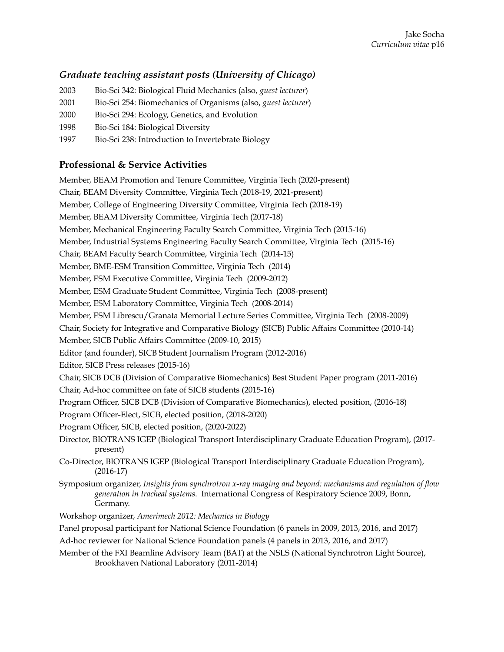# *Graduate teaching assistant posts (University of Chicago)*

- 2003 Bio-Sci 342: Biological Fluid Mechanics (also, *guest lecturer*)
- 2001 Bio-Sci 254: Biomechanics of Organisms (also, *guest lecturer*)
- 2000 Bio-Sci 294: Ecology, Genetics, and Evolution
- 1998 Bio-Sci 184: Biological Diversity
- 1997 Bio-Sci 238: Introduction to Invertebrate Biology

# **Professional & Service Activities**

Member, BEAM Promotion and Tenure Committee, Virginia Tech (2020-present) Chair, BEAM Diversity Committee, Virginia Tech (2018-19, 2021-present) Member, College of Engineering Diversity Committee, Virginia Tech (2018-19) Member, BEAM Diversity Committee, Virginia Tech (2017-18) Member, Mechanical Engineering Faculty Search Committee, Virginia Tech (2015-16) Member, Industrial Systems Engineering Faculty Search Committee, Virginia Tech (2015-16) Chair, BEAM Faculty Search Committee, Virginia Tech (2014-15) Member, BME-ESM Transition Committee, Virginia Tech (2014) Member, ESM Executive Committee, Virginia Tech (2009-2012) Member, ESM Graduate Student Committee, Virginia Tech (2008-present) Member, ESM Laboratory Committee, Virginia Tech (2008-2014) Member, ESM Librescu/Granata Memorial Lecture Series Committee, Virginia Tech (2008-2009) Chair, Society for Integrative and Comparative Biology (SICB) Public Affairs Committee (2010-14) Member, SICB Public Affairs Committee (2009-10, 2015) Editor (and founder), SICB Student Journalism Program (2012-2016) Editor, SICB Press releases (2015-16) Chair, SICB DCB (Division of Comparative Biomechanics) Best Student Paper program (2011-2016) Chair, Ad-hoc committee on fate of SICB students (2015-16) Program Officer, SICB DCB (Division of Comparative Biomechanics), elected position, (2016-18) Program Officer-Elect, SICB, elected position, (2018-2020) Program Officer, SICB, elected position, (2020-2022) Director, BIOTRANS IGEP (Biological Transport Interdisciplinary Graduate Education Program), (2017 present) Co-Director, BIOTRANS IGEP (Biological Transport Interdisciplinary Graduate Education Program), (2016-17) Symposium organizer, *Insights from synchrotron x-ray imaging and beyond: mechanisms and regulation of flow generation in tracheal systems*. International Congress of Respiratory Science 2009, Bonn, Germany. Workshop organizer, *Amerimech 2012: Mechanics in Biology*  Panel proposal participant for National Science Foundation (6 panels in 2009, 2013, 2016, and 2017) Ad-hoc reviewer for National Science Foundation panels (4 panels in 2013, 2016, and 2017) Member of the FXI Beamline Advisory Team (BAT) at the NSLS (National Synchrotron Light Source), Brookhaven National Laboratory (2011-2014)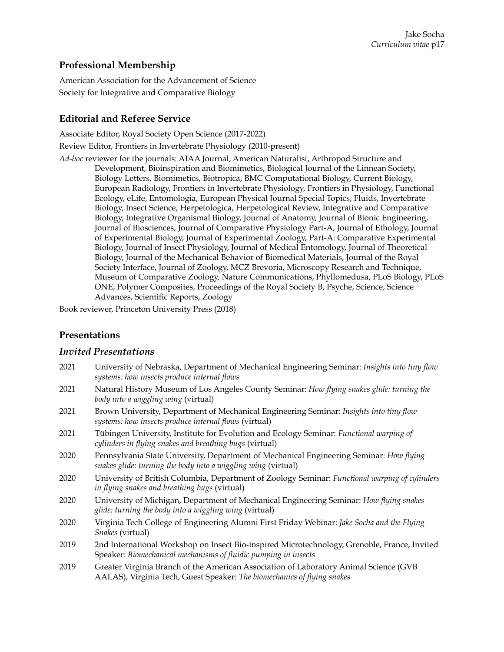## **Professional Membership**

American Association for the Advancement of Science Society for Integrative and Comparative Biology

## **Editorial and Referee Service**

Associate Editor, Royal Society Open Science (2017-2022)

Review Editor, Frontiers in Invertebrate Physiology (2010-present)

*Ad-hoc* reviewer for the journals: AIAA Journal, American Naturalist, Arthropod Structure and Development, Bioinspiration and Biomimetics, Biological Journal of the Linnean Society, Biology Letters, Biomimetics, Biotropica, BMC Computational Biology, Current Biology, European Radiology, Frontiers in Invertebrate Physiology, Frontiers in Physiology, Functional Ecology, eLife, Entomologia, European Physical Journal Special Topics, Fluids, Invertebrate Biology, Insect Science, Herpetologica, Herpetological Review, Integrative and Comparative Biology, Integrative Organismal Biology, Journal of Anatomy, Journal of Bionic Engineering, Journal of Biosciences, Journal of Comparative Physiology Part-A, Journal of Ethology, Journal of Experimental Biology, Journal of Experimental Zoology, Part-A: Comparative Experimental Biology, Journal of Insect Physiology, Journal of Medical Entomology, Journal of Theoretical Biology, Journal of the Mechanical Behavior of Biomedical Materials, Journal of the Royal Society Interface, Journal of Zoology, MCZ Brevoria, Microscopy Research and Technique, Museum of Comparative Zoology, Nature Communications, Phyllomedusa, PLoS Biology, PLoS ONE, Polymer Composites, Proceedings of the Royal Society B, Psyche, Science, Science Advances, Scientific Reports, Zoology

Book reviewer, Princeton University Press (2018)

## **Presentations**

## *Invited Presentations*

| 2021 | University of Nebraska, Department of Mechanical Engineering Seminar: Insights into tiny flow<br>systems: how insects produce internal flows                     |
|------|------------------------------------------------------------------------------------------------------------------------------------------------------------------|
| 2021 | Natural History Museum of Los Angeles County Seminar: How flying snakes glide: turning the<br>body into a wiggling wing (virtual)                                |
| 2021 | Brown University, Department of Mechanical Engineering Seminar: Insights into tiny flow<br>systems: how insects produce internal flows (virtual)                 |
| 2021 | Tübingen University, Institute for Evolution and Ecology Seminar: Functional warping of<br>cylinders in flying snakes and breathing bugs (virtual)               |
| 2020 | Pennsylvania State University, Department of Mechanical Engineering Seminar: How flying<br>snakes glide: turning the body into a wiggling wing (virtual)         |
| 2020 | University of British Columbia, Department of Zoology Seminar: Functional warping of cylinders<br>in flying snakes and breathing bugs (virtual)                  |
| 2020 | University of Michigan, Department of Mechanical Engineering Seminar: How flying snakes<br>glide: turning the body into a wiggling wing (virtual)                |
| 2020 | Virginia Tech College of Engineering Alumni First Friday Webinar: Jake Socha and the Flying<br>Snakes (virtual)                                                  |
| 2019 | 2nd International Workshop on Insect Bio-inspired Microtechnology, Grenoble, France, Invited<br>Speaker: Biomechanical mechanisms of fluidic pumping in insects  |
| 2019 | Greater Virginia Branch of the American Association of Laboratory Animal Science (GVB<br>AALAS), Virginia Tech, Guest Speaker: The biomechanics of flying snakes |
|      |                                                                                                                                                                  |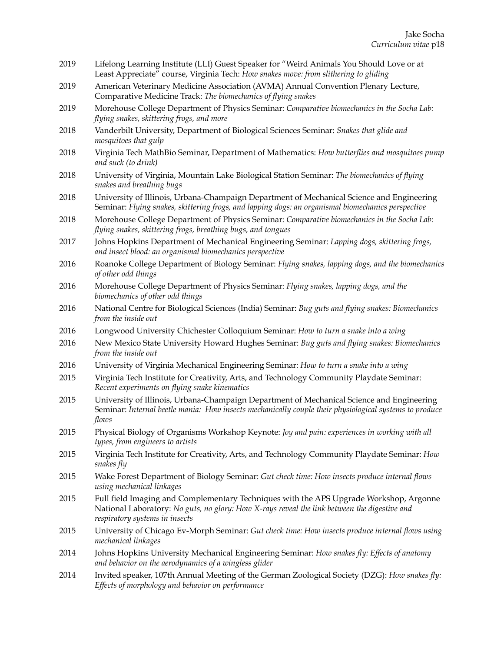- 2019 Lifelong Learning Institute (LLI) Guest Speaker for "Weird Animals You Should Love or at Least Appreciate" course, Virginia Tech: *How snakes move: from slithering to gliding*
- 2019 American Veterinary Medicine Association (AVMA) Annual Convention Plenary Lecture, Comparative Medicine Track: *The biomechanics of flying snakes*
- 2019 Morehouse College Department of Physics Seminar: *Comparative biomechanics in the Socha Lab: flying snakes, skittering frogs, and more*
- 2018 Vanderbilt University, Department of Biological Sciences Seminar: *Snakes that glide and mosquitoes that gulp*
- 2018 Virginia Tech MathBio Seminar, Department of Mathematics: *How butterflies and mosquitoes pump and suck (to drink)*
- 2018 University of Virginia, Mountain Lake Biological Station Seminar: *The biomechanics of flying snakes and breathing bugs*
- 2018 University of Illinois, Urbana-Champaign Department of Mechanical Science and Engineering Seminar: *Flying snakes, skittering frogs, and lapping dogs: an organismal biomechanics perspective*
- 2018 Morehouse College Department of Physics Seminar: *Comparative biomechanics in the Socha Lab: flying snakes, skittering frogs, breathing bugs, and tongues*
- 2017 Johns Hopkins Department of Mechanical Engineering Seminar: *Lapping dogs, skittering frogs, and insect blood: an organismal biomechanics perspective*
- 2016 Roanoke College Department of Biology Seminar: *Flying snakes, lapping dogs, and the biomechanics of other odd things*
- 2016 Morehouse College Department of Physics Seminar: *Flying snakes, lapping dogs, and the biomechanics of other odd things*
- 2016 National Centre for Biological Sciences (India) Seminar: *Bug guts and flying snakes: Biomechanics from the inside out*
- 2016 Longwood University Chichester Colloquium Seminar: *How to turn a snake into a wing*
- 2016 New Mexico State University Howard Hughes Seminar: *Bug guts and flying snakes: Biomechanics from the inside out*
- 2016 University of Virginia Mechanical Engineering Seminar: *How to turn a snake into a wing*
- 2015 Virginia Tech Institute for Creativity, Arts, and Technology Community Playdate Seminar: *Recent experiments on flying snake kinematics*
- 2015 University of Illinois, Urbana-Champaign Department of Mechanical Science and Engineering Seminar: *Internal beetle mania: How insects mechanically couple their physiological systems to produce flows*
- 2015 Physical Biology of Organisms Workshop Keynote: *Joy and pain: experiences in working with all types, from engineers to artists*
- 2015 Virginia Tech Institute for Creativity, Arts, and Technology Community Playdate Seminar: *How snakes fly*
- 2015 Wake Forest Department of Biology Seminar: *Gut check time: How insects produce internal flows using mechanical linkages*
- 2015 Full field Imaging and Complementary Techniques with the APS Upgrade Workshop, Argonne National Laboratory: *No guts, no glory: How X-rays reveal the link between the digestive and respiratory systems in insects*
- 2015 University of Chicago Ev-Morph Seminar: *Gut check time: How insects produce internal flows using mechanical linkages*
- 2014 Johns Hopkins University Mechanical Engineering Seminar: *How snakes fly: Effects of anatomy and behavior on the aerodynamics of a wingless glider*
- 2014 Invited speaker, 107th Annual Meeting of the German Zoological Society (DZG): *How snakes fly: Effects of morphology and behavior on performance*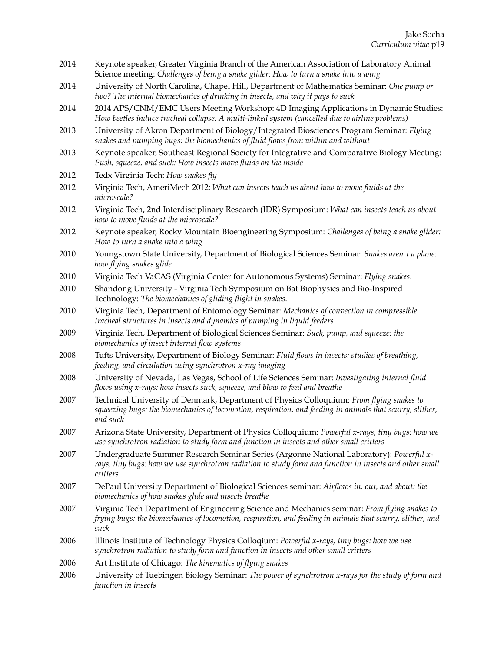- 2014 Keynote speaker, Greater Virginia Branch of the American Association of Laboratory Animal Science meeting: *Challenges of being a snake glider: How to turn a snake into a wing*
- 2014 University of North Carolina, Chapel Hill, Department of Mathematics Seminar: *One pump or two? The internal biomechanics of drinking in insects, and why it pays to suck*
- 2014 2014 APS/CNM/EMC Users Meeting Workshop: 4D Imaging Applications in Dynamic Studies: *How beetles induce tracheal collapse: A multi-linked system (cancelled due to airline problems)*
- 2013 University of Akron Department of Biology/Integrated Biosciences Program Seminar: *Flying snakes and pumping bugs: the biomechanics of fluid flows from within and without*
- 2013 Keynote speaker, Southeast Regional Society for Integrative and Comparative Biology Meeting: *Push, squeeze, and suck: How insects move fluids on the inside*
- 2012 Tedx Virginia Tech: *How snakes fly*
- 2012 Virginia Tech, AmeriMech 2012: *What can insects teach us about how to move fluids at the microscale?*
- 2012 Virginia Tech, 2nd Interdisciplinary Research (IDR) Symposium: *What can insects teach us about how to move fluids at the microscale?*
- 2012 Keynote speaker, Rocky Mountain Bioengineering Symposium: *Challenges of being a snake glider: How to turn a snake into a wing*
- 2010 Youngstown State University, Department of Biological Sciences Seminar: *Snakes aren't a plane: how flying snakes glide*
- 2010 Virginia Tech VaCAS (Virginia Center for Autonomous Systems) Seminar: *Flying snakes*.
- 2010 Shandong University Virginia Tech Symposium on Bat Biophysics and Bio-Inspired Technology: *The biomechanics of gliding flight in snakes*.
- 2010 Virginia Tech, Department of Entomology Seminar: *Mechanics of convection in compressible tracheal structures in insects and dynamics of pumping in liquid feeders*
- 2009 Virginia Tech, Department of Biological Sciences Seminar: *Suck, pump, and squeeze: the biomechanics of insect internal flow systems*
- 2008 Tufts University, Department of Biology Seminar: *Fluid flows in insects: studies of breathing, feeding, and circulation using synchrotron x-ray imaging*
- 2008 University of Nevada, Las Vegas, School of Life Sciences Seminar: *Investigating internal fluid flows using x-rays: how insects suck, squeeze, and blow to feed and breathe*
- 2007 Technical University of Denmark, Department of Physics Colloquium: *From flying snakes to squeezing bugs: the biomechanics of locomotion, respiration, and feeding in animals that scurry, slither, and suck*
- 2007 Arizona State University, Department of Physics Colloquium: *Powerful x-rays, tiny bugs: how we use synchrotron radiation to study form and function in insects and other small critters*
- 2007 Undergraduate Summer Research Seminar Series (Argonne National Laboratory): *Powerful xrays, tiny bugs: how we use synchrotron radiation to study form and function in insects and other small critters*
- 2007 DePaul University Department of Biological Sciences seminar: *Airflows in, out, and about: the biomechanics of how snakes glide and insects breathe*
- 2007 Virginia Tech Department of Engineering Science and Mechanics seminar: *From flying snakes to frying bugs: the biomechanics of locomotion, respiration, and feeding in animals that scurry, slither, and suck*
- 2006 Illinois Institute of Technology Physics Colloqium: *Powerful x-rays, tiny bugs: how we use synchrotron radiation to study form and function in insects and other small critters*
- 2006 Art Institute of Chicago: *The kinematics of flying snakes*
- 2006 University of Tuebingen Biology Seminar: *The power of synchrotron x-rays for the study of form and function in insects*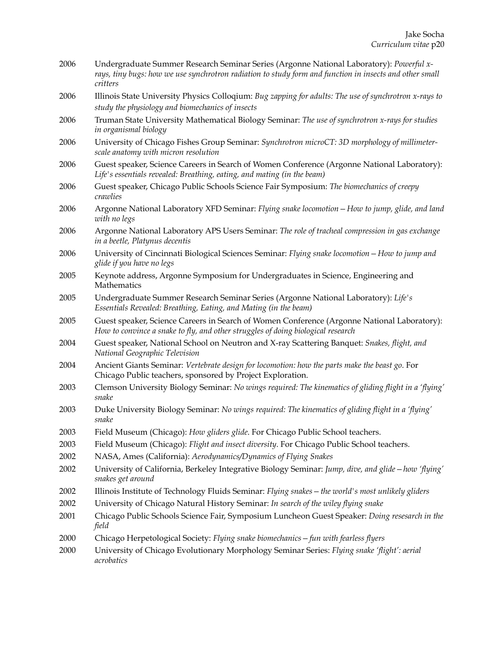- 2006 Undergraduate Summer Research Seminar Series (Argonne National Laboratory): *Powerful xrays, tiny bugs: how we use synchrotron radiation to study form and function in insects and other small critters*
- 2006 Illinois State University Physics Colloqium: *Bug zapping for adults: The use of synchrotron x-rays to study the physiology and biomechanics of insects*
- 2006 Truman State University Mathematical Biology Seminar: *The use of synchrotron x-rays for studies in organismal biology*
- 2006 University of Chicago Fishes Group Seminar: *Synchrotron microCT: 3D morphology of millimeterscale anatomy with micron resolution*
- 2006 Guest speaker, Science Careers in Search of Women Conference (Argonne National Laboratory): *Life's essentials revealed: Breathing, eating, and mating (in the beam)*
- 2006 Guest speaker, Chicago Public Schools Science Fair Symposium: *The biomechanics of creepy crawlies*
- 2006 Argonne National Laboratory XFD Seminar: *Flying snake locomotion—How to jump, glide, and land with no legs*
- 2006 Argonne National Laboratory APS Users Seminar: *The role of tracheal compression in gas exchange in a beetle, Platynus decentis*
- 2006 University of Cincinnati Biological Sciences Seminar: *Flying snake locomotion—How to jump and glide if you have no legs*
- 2005 Keynote address, Argonne Symposium for Undergraduates in Science, Engineering and Mathematics
- 2005 Undergraduate Summer Research Seminar Series (Argonne National Laboratory): *Life's Essentials Revealed: Breathing, Eating, and Mating (in the beam)*

2005 Guest speaker, Science Careers in Search of Women Conference (Argonne National Laboratory): *How to convince a snake to fly, and other struggles of doing biological research* 

- 2004 Guest speaker, National School on Neutron and X-ray Scattering Banquet: *Snakes, flight, and National Geographic Television*
- 2004 Ancient Giants Seminar: *Vertebrate design for locomotion: how the parts make the beast go*. For Chicago Public teachers, sponsored by Project Exploration.
- 2003 Clemson University Biology Seminar: *No wings required: The kinematics of gliding flight in a 'flying' snake*
- 2003 Duke University Biology Seminar: *No wings required: The kinematics of gliding flight in a 'flying' snake*
- 2003 Field Museum (Chicago): *How gliders glide*. For Chicago Public School teachers.
- 2003 Field Museum (Chicago): *Flight and insect diversity*. For Chicago Public School teachers.
- 2002 NASA, Ames (California): *Aerodynamics/Dynamics of Flying Snakes*
- 2002 University of California, Berkeley Integrative Biology Seminar: *Jump, dive, and glide—how 'flying' snakes get around*
- 2002 Illinois Institute of Technology Fluids Seminar: *Flying snakes—the world's most unlikely gliders*
- 2002 University of Chicago Natural History Seminar: *In search of the wiley flying snake*
- 2001 Chicago Public Schools Science Fair, Symposium Luncheon Guest Speaker: *Doing resesarch in the field*
- 2000 Chicago Herpetological Society: *Flying snake biomechanics—fun with fearless flyers*
- 2000 University of Chicago Evolutionary Morphology Seminar Series: *Flying snake 'flight': aerial acrobatics*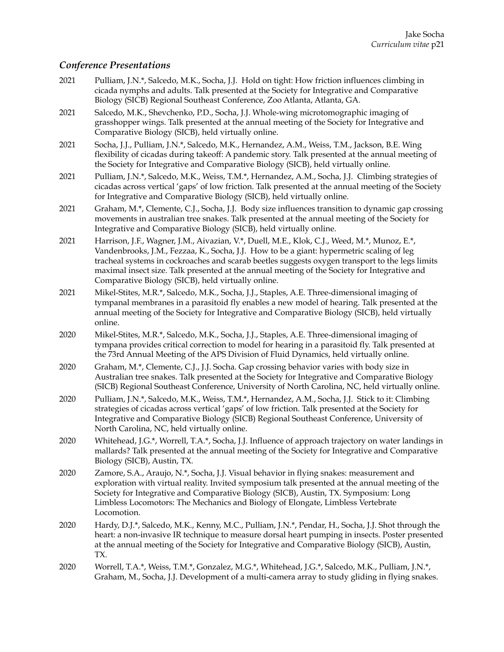### *Conference Presentations*

- 2021 Pulliam, J.N.\*, Salcedo, M.K., Socha, J.J. Hold on tight: How friction influences climbing in cicada nymphs and adults. Talk presented at the Society for Integrative and Comparative Biology (SICB) Regional Southeast Conference, Zoo Atlanta, Atlanta, GA.
- 2021 Salcedo, M.K., Shevchenko, P.D., Socha, J.J. Whole-wing microtomographic imaging of grasshopper wings. Talk presented at the annual meeting of the Society for Integrative and Comparative Biology (SICB), held virtually online.
- 2021 Socha, J.J., Pulliam, J.N.\*, Salcedo, M.K., Hernandez, A.M., Weiss, T.M., Jackson, B.E. Wing flexibility of cicadas during takeoff: A pandemic story. Talk presented at the annual meeting of the Society for Integrative and Comparative Biology (SICB), held virtually online.
- 2021 Pulliam, J.N.\*, Salcedo, M.K., Weiss, T.M.\*, Hernandez, A.M., Socha, J.J. Climbing strategies of cicadas across vertical 'gaps' of low friction. Talk presented at the annual meeting of the Society for Integrative and Comparative Biology (SICB), held virtually online.
- 2021 Graham, M.\*, Clemente, C.J., Socha, J.J. Body size influences transition to dynamic gap crossing movements in australian tree snakes. Talk presented at the annual meeting of the Society for Integrative and Comparative Biology (SICB), held virtually online.
- 2021 Harrison, J.F., Wagner, J.M., Aivazian, V.\*, Duell, M.E., Klok, C.J., Weed, M.\*, Munoz, E.\*, Vandenbrooks, J.M., Fezzaa, K., Socha, J.J. How to be a giant: hypermetric scaling of leg tracheal systems in cockroaches and scarab beetles suggests oxygen transport to the legs limits maximal insect size. Talk presented at the annual meeting of the Society for Integrative and Comparative Biology (SICB), held virtually online.
- 2021 Mikel-Stites, M.R.\*, Salcedo, M.K., Socha, J.J., Staples, A.E. Three-dimensional imaging of tympanal membranes in a parasitoid fly enables a new model of hearing. Talk presented at the annual meeting of the Society for Integrative and Comparative Biology (SICB), held virtually online.
- 2020 Mikel-Stites, M.R.\*, Salcedo, M.K., Socha, J.J., Staples, A.E. Three-dimensional imaging of tympana provides critical correction to model for hearing in a parasitoid fly. Talk presented at the 73rd Annual Meeting of the APS Division of Fluid Dynamics, held virtually online.
- 2020 Graham, M.\*, Clemente, C.J., J.J. Socha. Gap crossing behavior varies with body size in Australian tree snakes. Talk presented at the Society for Integrative and Comparative Biology (SICB) Regional Southeast Conference, University of North Carolina, NC, held virtually online.
- 2020 Pulliam, J.N.\*, Salcedo, M.K., Weiss, T.M.\*, Hernandez, A.M., Socha, J.J. Stick to it: Climbing strategies of cicadas across vertical 'gaps' of low friction. Talk presented at the Society for Integrative and Comparative Biology (SICB) Regional Southeast Conference, University of North Carolina, NC, held virtually online.
- 2020 Whitehead, J.G.\*, Worrell, T.A.\*, Socha, J.J. Influence of approach trajectory on water landings in mallards? Talk presented at the annual meeting of the Society for Integrative and Comparative Biology (SICB), Austin, TX.
- 2020 Zamore, S.A., Araujo, N.\*, Socha, J.J. Visual behavior in flying snakes: measurement and exploration with virtual reality. Invited symposium talk presented at the annual meeting of the Society for Integrative and Comparative Biology (SICB), Austin, TX. Symposium: Long Limbless Locomotors: The Mechanics and Biology of Elongate, Limbless Vertebrate Locomotion.
- 2020 Hardy, D.J.\*, Salcedo, M.K., Kenny, M.C., Pulliam, J.N.\*, Pendar, H., Socha, J.J. Shot through the heart: a non-invasive IR technique to measure dorsal heart pumping in insects. Poster presented at the annual meeting of the Society for Integrative and Comparative Biology (SICB), Austin, TX.
- 2020 Worrell, T.A.\*, Weiss, T.M.\*, Gonzalez, M.G.\*, Whitehead, J.G.\*, Salcedo, M.K., Pulliam, J.N.\*, Graham, M., Socha, J.J. Development of a multi-camera array to study gliding in flying snakes.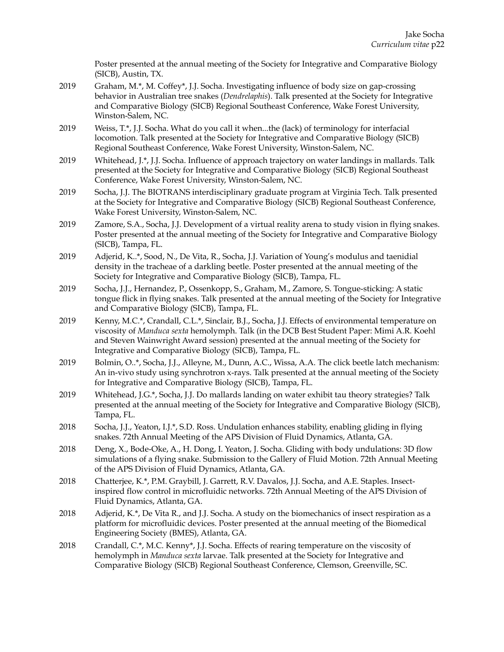Poster presented at the annual meeting of the Society for Integrative and Comparative Biology (SICB), Austin, TX.

- 2019 Graham, M.\*, M. Coffey\*, J.J. Socha. Investigating influence of body size on gap-crossing behavior in Australian tree snakes (*Dendrelaphis*). Talk presented at the Society for Integrative and Comparative Biology (SICB) Regional Southeast Conference, Wake Forest University, Winston-Salem, NC.
- 2019 Weiss, T.\*, J.J. Socha. What do you call it when...the (lack) of terminology for interfacial locomotion. Talk presented at the Society for Integrative and Comparative Biology (SICB) Regional Southeast Conference, Wake Forest University, Winston-Salem, NC.
- 2019 Whitehead, J.\*, J.J. Socha. Influence of approach trajectory on water landings in mallards. Talk presented at the Society for Integrative and Comparative Biology (SICB) Regional Southeast Conference, Wake Forest University, Winston-Salem, NC.
- 2019 Socha, J.J. The BIOTRANS interdisciplinary graduate program at Virginia Tech. Talk presented at the Society for Integrative and Comparative Biology (SICB) Regional Southeast Conference, Wake Forest University, Winston-Salem, NC.
- 2019 Zamore, S.A., Socha, J.J. Development of a virtual reality arena to study vision in flying snakes. Poster presented at the annual meeting of the Society for Integrative and Comparative Biology (SICB), Tampa, FL.
- 2019 Adjerid, K..\*, Sood, N., De Vita, R., Socha, J.J. Variation of Young's modulus and taenidial density in the tracheae of a darkling beetle. Poster presented at the annual meeting of the Society for Integrative and Comparative Biology (SICB), Tampa, FL.
- 2019 Socha, J.J., Hernandez, P., Ossenkopp, S., Graham, M., Zamore, S. Tongue-sticking: A static tongue flick in flying snakes. Talk presented at the annual meeting of the Society for Integrative and Comparative Biology (SICB), Tampa, FL.
- 2019 Kenny, M.C.\*, Crandall, C.L.\*, Sinclair, B.J., Socha, J.J. Effects of environmental temperature on viscosity of *Manduca sexta* hemolymph. Talk (in the DCB Best Student Paper: Mimi A.R. Koehl and Steven Wainwright Award session) presented at the annual meeting of the Society for Integrative and Comparative Biology (SICB), Tampa, FL.
- 2019 Bolmin, O..\*, Socha, J.J., Alleyne, M., Dunn, A.C., Wissa, A.A. The click beetle latch mechanism: An in-vivo study using synchrotron x-rays. Talk presented at the annual meeting of the Society for Integrative and Comparative Biology (SICB), Tampa, FL.
- 2019 Whitehead, J.G.\*, Socha, J.J. Do mallards landing on water exhibit tau theory strategies? Talk presented at the annual meeting of the Society for Integrative and Comparative Biology (SICB), Tampa, FL.
- 2018 Socha, J.J., Yeaton, I.J.\*, S.D. Ross. Undulation enhances stability, enabling gliding in flying snakes. 72th Annual Meeting of the APS Division of Fluid Dynamics, Atlanta, GA.
- 2018 Deng, X., Bode-Oke, A., H. Dong, I. Yeaton, J. Socha. Gliding with body undulations: 3D flow simulations of a flying snake. Submission to the Gallery of Fluid Motion. 72th Annual Meeting of the APS Division of Fluid Dynamics, Atlanta, GA.
- 2018 Chatterjee, K.\*, P.M. Graybill, J. Garrett, R.V. Davalos, J.J. Socha, and A.E. Staples. Insectinspired flow control in microfluidic networks. 72th Annual Meeting of the APS Division of Fluid Dynamics, Atlanta, GA.
- 2018 Adjerid, K.\*, De Vita R., and J.J. Socha. A study on the biomechanics of insect respiration as a platform for microfluidic devices. Poster presented at the annual meeting of the Biomedical Engineering Society (BMES), Atlanta, GA.
- 2018 Crandall, C.\*, M.C. Kenny\*, J.J. Socha. Effects of rearing temperature on the viscosity of hemolymph in *Manduca sexta* larvae. Talk presented at the Society for Integrative and Comparative Biology (SICB) Regional Southeast Conference, Clemson, Greenville, SC.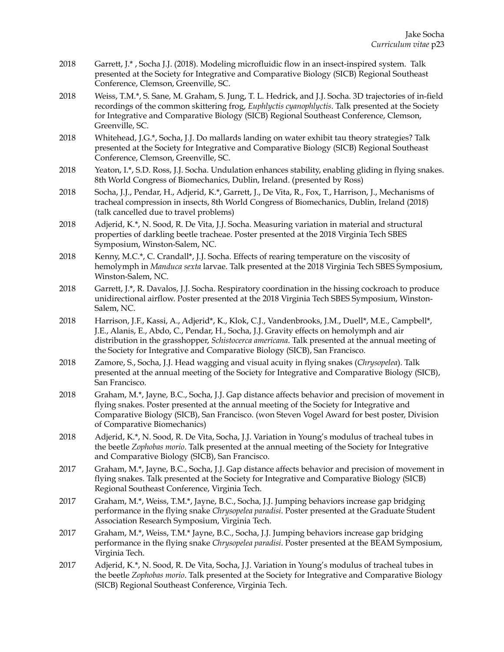- 2018 Garrett, J.\* , Socha J.J. (2018). Modeling microfluidic flow in an insect-inspired system. Talk presented at the Society for Integrative and Comparative Biology (SICB) Regional Southeast Conference, Clemson, Greenville, SC.
- 2018 Weiss, T.M.\*, S. Sane, M. Graham, S. Jung, T. L. Hedrick, and J.J. Socha. 3D trajectories of in-field recordings of the common skittering frog, *Euphlyctis cyanophlyctis*. Talk presented at the Society for Integrative and Comparative Biology (SICB) Regional Southeast Conference, Clemson, Greenville, SC.
- 2018 Whitehead, J.G.\*, Socha, J.J. Do mallards landing on water exhibit tau theory strategies? Talk presented at the Society for Integrative and Comparative Biology (SICB) Regional Southeast Conference, Clemson, Greenville, SC.
- 2018 Yeaton, I.\*, S.D. Ross, J.J. Socha. Undulation enhances stability, enabling gliding in flying snakes. 8th World Congress of Biomechanics, Dublin, Ireland. (presented by Ross)
- 2018 Socha, J.J., Pendar, H., Adjerid, K.\*, Garrett, J., De Vita, R., Fox, T., Harrison, J., Mechanisms of tracheal compression in insects, 8th World Congress of Biomechanics, Dublin, Ireland (2018) (talk cancelled due to travel problems)
- 2018 Adjerid, K.\*, N. Sood, R. De Vita, J.J. Socha. Measuring variation in material and structural properties of darkling beetle tracheae. Poster presented at the 2018 Virginia Tech SBES Symposium, Winston-Salem, NC.
- 2018 Kenny, M.C.\*, C. Crandall\*, J.J. Socha. Effects of rearing temperature on the viscosity of hemolymph in *Manduca sexta* larvae. Talk presented at the 2018 Virginia Tech SBES Symposium, Winston-Salem, NC.
- 2018 Garrett, J.\*, R. Davalos, J.J. Socha. Respiratory coordination in the hissing cockroach to produce unidirectional airflow. Poster presented at the 2018 Virginia Tech SBES Symposium, Winston-Salem, NC.
- 2018 Harrison, J.F., Kassi, A., Adjerid\*, K., Klok, C.J., Vandenbrooks, J.M., Duell\*, M.E., Campbell\*, J.E., Alanis, E., Abdo, C., Pendar, H., Socha, J.J. Gravity effects on hemolymph and air distribution in the grasshopper, *Schistocerca americana*. Talk presented at the annual meeting of the Society for Integrative and Comparative Biology (SICB), San Francisco.
- 2018 Zamore, S., Socha, J.J. Head wagging and visual acuity in flying snakes (*Chrysopelea*). Talk presented at the annual meeting of the Society for Integrative and Comparative Biology (SICB), San Francisco.
- 2018 Graham, M.\*, Jayne, B.C., Socha, J.J. Gap distance affects behavior and precision of movement in flying snakes. Poster presented at the annual meeting of the Society for Integrative and Comparative Biology (SICB), San Francisco. (won Steven Vogel Award for best poster, Division of Comparative Biomechanics)
- 2018 Adjerid, K.\*, N. Sood, R. De Vita, Socha, J.J. Variation in Young's modulus of tracheal tubes in the beetle *Zophobas morio*. Talk presented at the annual meeting of the Society for Integrative and Comparative Biology (SICB), San Francisco.
- 2017 Graham, M.\*, Jayne, B.C., Socha, J.J. Gap distance affects behavior and precision of movement in flying snakes. Talk presented at the Society for Integrative and Comparative Biology (SICB) Regional Southeast Conference, Virginia Tech.
- 2017 Graham, M.\*, Weiss, T.M.\*, Jayne, B.C., Socha, J.J. Jumping behaviors increase gap bridging performance in the flying snake *Chrysopelea paradisi*. Poster presented at the Graduate Student Association Research Symposium, Virginia Tech.
- 2017 Graham, M.\*, Weiss, T.M.\* Jayne, B.C., Socha, J.J. Jumping behaviors increase gap bridging performance in the flying snake *Chrysopelea paradisi*. Poster presented at the BEAM Symposium, Virginia Tech.
- 2017 Adjerid, K.\*, N. Sood, R. De Vita, Socha, J.J. Variation in Young's modulus of tracheal tubes in the beetle *Zophobas morio*. Talk presented at the Society for Integrative and Comparative Biology (SICB) Regional Southeast Conference, Virginia Tech.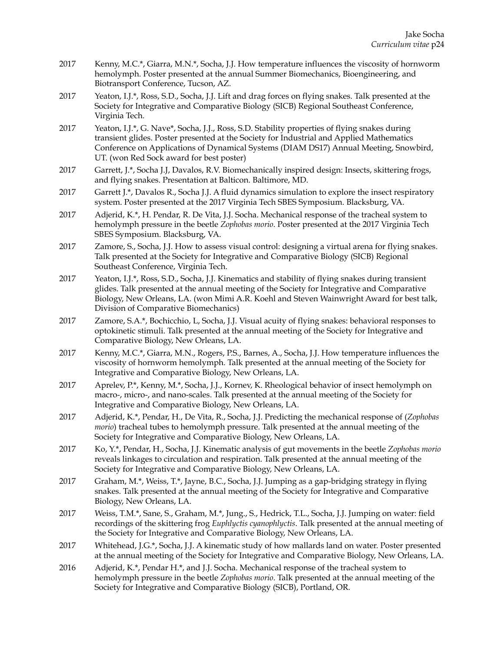- 2017 Kenny, M.C.\*, Giarra, M.N.\*, Socha, J.J. How temperature influences the viscosity of hornworm hemolymph. Poster presented at the annual Summer Biomechanics, Bioengineering, and Biotransport Conference, Tucson, AZ.
- 2017 Yeaton, I.J.\*, Ross, S.D., Socha, J.J. Lift and drag forces on flying snakes. Talk presented at the Society for Integrative and Comparative Biology (SICB) Regional Southeast Conference, Virginia Tech.
- 2017 Yeaton, I.J.\*, G. Nave\*, Socha, J.J., Ross, S.D. Stability properties of flying snakes during transient glides. Poster presented at the Society for Industrial and Applied Mathematics Conference on Applications of Dynamical Systems (DIAM DS17) Annual Meeting, Snowbird, UT. (won Red Sock award for best poster)
- 2017 Garrett, J.\*, Socha J.J, Davalos, R.V. Biomechanically inspired design: Insects, skittering frogs, and flying snakes. Presentation at Balticon. Baltimore, MD.
- 2017 Garrett J.\*, Davalos R., Socha J.J. A fluid dynamics simulation to explore the insect respiratory system. Poster presented at the 2017 Virginia Tech SBES Symposium. Blacksburg, VA.
- 2017 Adjerid, K.\*, H. Pendar, R. De Vita, J.J. Socha. Mechanical response of the tracheal system to hemolymph pressure in the beetle *Zophobas morio*. Poster presented at the 2017 Virginia Tech SBES Symposium. Blacksburg, VA.
- 2017 Zamore, S., Socha, J.J. How to assess visual control: designing a virtual arena for flying snakes. Talk presented at the Society for Integrative and Comparative Biology (SICB) Regional Southeast Conference, Virginia Tech.
- 2017 Yeaton, I.J.\*, Ross, S.D., Socha, J.J. Kinematics and stability of flying snakes during transient glides. Talk presented at the annual meeting of the Society for Integrative and Comparative Biology, New Orleans, LA. (won Mimi A.R. Koehl and Steven Wainwright Award for best talk, Division of Comparative Biomechanics)
- 2017 Zamore, S.A.\*, Bochicchio, L, Socha, J.J. Visual acuity of flying snakes: behavioral responses to optokinetic stimuli. Talk presented at the annual meeting of the Society for Integrative and Comparative Biology, New Orleans, LA.
- 2017 Kenny, M.C.\*, Giarra, M.N., Rogers, P.S., Barnes, A., Socha, J.J. How temperature influences the viscosity of hornworm hemolymph. Talk presented at the annual meeting of the Society for Integrative and Comparative Biology, New Orleans, LA.
- 2017 Aprelev, P.\*, Kenny, M.\*, Socha, J.J., Kornev, K. Rheological behavior of insect hemolymph on macro-, micro-, and nano-scales. Talk presented at the annual meeting of the Society for Integrative and Comparative Biology, New Orleans, LA.
- 2017 Adjerid, K.\*, Pendar, H., De Vita, R., Socha, J.J. Predicting the mechanical response of (*Zophobas morio*) tracheal tubes to hemolymph pressure. Talk presented at the annual meeting of the Society for Integrative and Comparative Biology, New Orleans, LA.
- 2017 Ko, Y.\*, Pendar, H., Socha, J.J. Kinematic analysis of gut movements in the beetle *Zophobas morio* reveals linkages to circulation and respiration. Talk presented at the annual meeting of the Society for Integrative and Comparative Biology, New Orleans, LA.
- 2017 Graham, M.\*, Weiss, T.\*, Jayne, B.C., Socha, J.J. Jumping as a gap-bridging strategy in flying snakes. Talk presented at the annual meeting of the Society for Integrative and Comparative Biology, New Orleans, LA.
- 2017 Weiss, T.M.\*, Sane, S., Graham, M.\*, Jung., S., Hedrick, T.L., Socha, J.J. Jumping on water: field recordings of the skittering frog *Euphlyctis cyanophlyctis*. Talk presented at the annual meeting of the Society for Integrative and Comparative Biology, New Orleans, LA.
- 2017 Whitehead, J.G.\*, Socha, J.J. A kinematic study of how mallards land on water. Poster presented at the annual meeting of the Society for Integrative and Comparative Biology, New Orleans, LA.
- 2016 Adjerid, K.\*, Pendar H.\*, and J.J. Socha. Mechanical response of the tracheal system to hemolymph pressure in the beetle *Zophobas morio*. Talk presented at the annual meeting of the Society for Integrative and Comparative Biology (SICB), Portland, OR.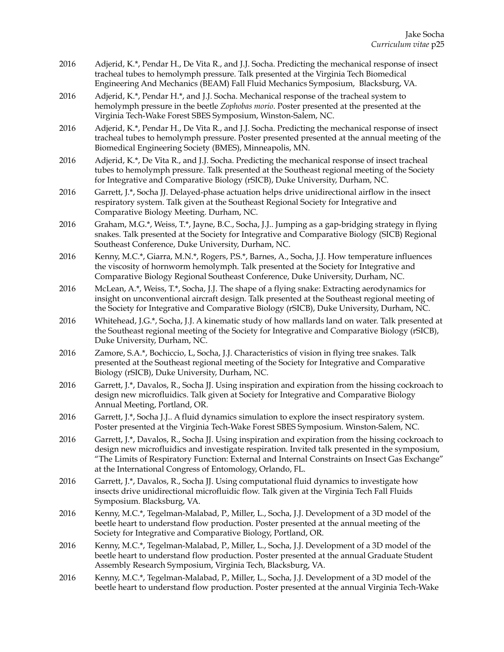- 2016 Adjerid, K.\*, Pendar H., De Vita R., and J.J. Socha. Predicting the mechanical response of insect tracheal tubes to hemolymph pressure. Talk presented at the Virginia Tech Biomedical Engineering And Mechanics (BEAM) Fall Fluid Mechanics Symposium, Blacksburg, VA.
- 2016 Adjerid, K.\*, Pendar H.\*, and J.J. Socha. Mechanical response of the tracheal system to hemolymph pressure in the beetle *Zophobas morio*. Poster presented at the presented at the Virginia Tech-Wake Forest SBES Symposium, Winston-Salem, NC.
- 2016 Adjerid, K.\*, Pendar H., De Vita R., and J.J. Socha. Predicting the mechanical response of insect tracheal tubes to hemolymph pressure. Poster presented presented at the annual meeting of the Biomedical Engineering Society (BMES), Minneapolis, MN.
- 2016 Adjerid, K.\*, De Vita R., and J.J. Socha. Predicting the mechanical response of insect tracheal tubes to hemolymph pressure. Talk presented at the Southeast regional meeting of the Society for Integrative and Comparative Biology (rSICB), Duke University, Durham, NC.
- 2016 Garrett, J.\*, Socha JJ. Delayed-phase actuation helps drive unidirectional airflow in the insect respiratory system. Talk given at the Southeast Regional Society for Integrative and Comparative Biology Meeting. Durham, NC.
- 2016 Graham, M.G.\*, Weiss, T.\*, Jayne, B.C., Socha, J.J.. Jumping as a gap-bridging strategy in flying snakes. Talk presented at the Society for Integrative and Comparative Biology (SICB) Regional Southeast Conference, Duke University, Durham, NC.
- 2016 Kenny, M.C.\*, Giarra, M.N.\*, Rogers, P.S.\*, Barnes, A., Socha, J.J. How temperature influences the viscosity of hornworm hemolymph. Talk presented at the Society for Integrative and Comparative Biology Regional Southeast Conference, Duke University, Durham, NC.
- 2016 McLean, A.\*, Weiss, T.\*, Socha, J.J. The shape of a flying snake: Extracting aerodynamics for insight on unconventional aircraft design. Talk presented at the Southeast regional meeting of the Society for Integrative and Comparative Biology (rSICB), Duke University, Durham, NC.
- 2016 Whitehead, J.G.\*, Socha, J.J. A kinematic study of how mallards land on water. Talk presented at the Southeast regional meeting of the Society for Integrative and Comparative Biology (rSICB), Duke University, Durham, NC.
- 2016 Zamore, S.A.\*, Bochiccio, L, Socha, J.J. Characteristics of vision in flying tree snakes. Talk presented at the Southeast regional meeting of the Society for Integrative and Comparative Biology (rSICB), Duke University, Durham, NC.
- 2016 Garrett, J.\*, Davalos, R., Socha JJ. Using inspiration and expiration from the hissing cockroach to design new microfluidics. Talk given at Society for Integrative and Comparative Biology Annual Meeting, Portland, OR.
- 2016 Garrett, J.\*, Socha J.J.. A fluid dynamics simulation to explore the insect respiratory system. Poster presented at the Virginia Tech-Wake Forest SBES Symposium. Winston-Salem, NC.
- 2016 Garrett, J.\*, Davalos, R., Socha JJ. Using inspiration and expiration from the hissing cockroach to design new microfluidics and investigate respiration. Invited talk presented in the symposium, "The Limits of Respiratory Function: External and Internal Constraints on Insect Gas Exchange" at the International Congress of Entomology, Orlando, FL.
- 2016 Garrett, J.\*, Davalos, R., Socha JJ. Using computational fluid dynamics to investigate how insects drive unidirectional microfluidic flow. Talk given at the Virginia Tech Fall Fluids Symposium. Blacksburg, VA.
- 2016 Kenny, M.C.\*, Tegelman-Malabad, P., Miller, L., Socha, J.J. Development of a 3D model of the beetle heart to understand flow production. Poster presented at the annual meeting of the Society for Integrative and Comparative Biology, Portland, OR.
- 2016 Kenny, M.C.\*, Tegelman-Malabad, P., Miller, L., Socha, J.J. Development of a 3D model of the beetle heart to understand flow production. Poster presented at the annual Graduate Student Assembly Research Symposium, Virginia Tech, Blacksburg, VA.
- 2016 Kenny, M.C.\*, Tegelman-Malabad, P., Miller, L., Socha, J.J. Development of a 3D model of the beetle heart to understand flow production. Poster presented at the annual Virginia Tech-Wake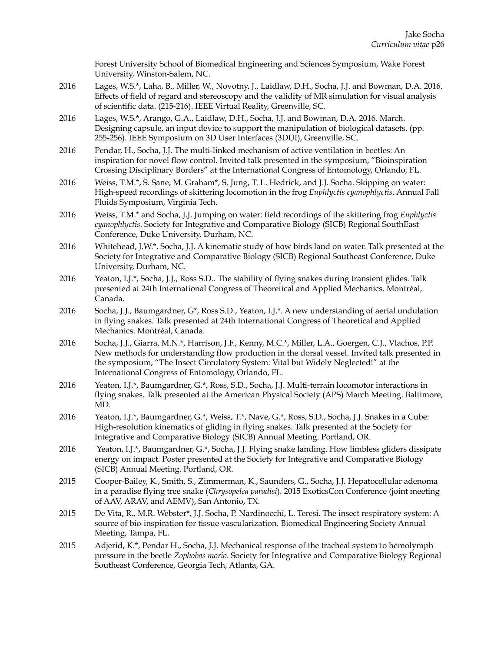Forest University School of Biomedical Engineering and Sciences Symposium, Wake Forest University, Winston-Salem, NC.

- 2016 Lages, W.S.\*, Laha, B., Miller, W., Novotny, J., Laidlaw, D.H., Socha, J.J. and Bowman, D.A. 2016. Effects of field of regard and stereoscopy and the validity of MR simulation for visual analysis of scientific data. (215-216). IEEE Virtual Reality, Greenville, SC.
- 2016 Lages, W.S.\*, Arango, G.A., Laidlaw, D.H., Socha, J.J. and Bowman, D.A. 2016. March. Designing capsule, an input device to support the manipulation of biological datasets. (pp. 255-256). IEEE Symposium on 3D User Interfaces (3DUI), Greenville, SC.
- 2016 Pendar, H., Socha, J.J. The multi-linked mechanism of active ventilation in beetles: An inspiration for novel flow control. Invited talk presented in the symposium, "Bioinspiration Crossing Disciplinary Borders" at the International Congress of Entomology, Orlando, FL.
- 2016 Weiss, T.M.\*, S. Sane, M. Graham\*, S. Jung, T. L. Hedrick, and J.J. Socha. Skipping on water: High-speed recordings of skittering locomotion in the frog *Euphlyctis cyanophlyctis*. Annual Fall Fluids Symposium, Virginia Tech.
- 2016 Weiss, T.M.\* and Socha, J.J. Jumping on water: field recordings of the skittering frog *Euphlyctis cyanophlyctis*. Society for Integrative and Comparative Biology (SICB) Regional SouthEast Conference, Duke University, Durham, NC.
- 2016 Whitehead, J.W.\*, Socha, J.J. A kinematic study of how birds land on water. Talk presented at the Society for Integrative and Comparative Biology (SICB) Regional Southeast Conference, Duke University, Durham, NC.
- 2016 Yeaton, I.J.\*, Socha, J.J., Ross S.D.. The stability of flying snakes during transient glides. Talk presented at 24th International Congress of Theoretical and Applied Mechanics. Montréal, Canada.
- 2016 Socha, J.J., Baumgardner, G\*, Ross S.D., Yeaton, I.J.\*. A new understanding of aerial undulation in flying snakes. Talk presented at 24th International Congress of Theoretical and Applied Mechanics. Montréal, Canada.
- 2016 Socha, J.J., Giarra, M.N.\*, Harrison, J.F., Kenny, M.C.\*, Miller, L.A., Goergen, C.J., Vlachos, P.P. New methods for understanding flow production in the dorsal vessel. Invited talk presented in the symposium, "The Insect Circulatory System: Vital but Widely Neglected!" at the International Congress of Entomology, Orlando, FL.
- 2016 Yeaton, I.J.\*, Baumgardner, G.\*, Ross, S.D., Socha, J.J. Multi-terrain locomotor interactions in flying snakes. Talk presented at the American Physical Society (APS) March Meeting. Baltimore, MD.
- 2016 Yeaton, I.J.\*, Baumgardner, G.\*, Weiss, T.\*, Nave, G.\*, Ross, S.D., Socha, J.J. Snakes in a Cube: High-resolution kinematics of gliding in flying snakes. Talk presented at the Society for Integrative and Comparative Biology (SICB) Annual Meeting. Portland, OR.
- 2016 Yeaton, I.J.\*, Baumgardner, G.\*, Socha, J.J. Flying snake landing. How limbless gliders dissipate energy on impact. Poster presented at the Society for Integrative and Comparative Biology (SICB) Annual Meeting. Portland, OR.
- 2015 Cooper-Bailey, K., Smith, S., Zimmerman, K., Saunders, G., Socha, J.J. Hepatocellular adenoma in a paradise flying tree snake (*Chrysopelea paradisi*). 2015 ExoticsCon Conference (joint meeting of AAV, ARAV, and AEMV), San Antonio, TX.
- 2015 De Vita, R., M.R. Webster\*, J.J. Socha, P. Nardinocchi, L. Teresi. The insect respiratory system: A source of bio-inspiration for tissue vascularization. Biomedical Engineering Society Annual Meeting, Tampa, FL.
- 2015 Adjerid, K.\*, Pendar H., Socha, J.J. Mechanical response of the tracheal system to hemolymph pressure in the beetle *Zophobas morio*. Society for Integrative and Comparative Biology Regional Southeast Conference, Georgia Tech, Atlanta, GA.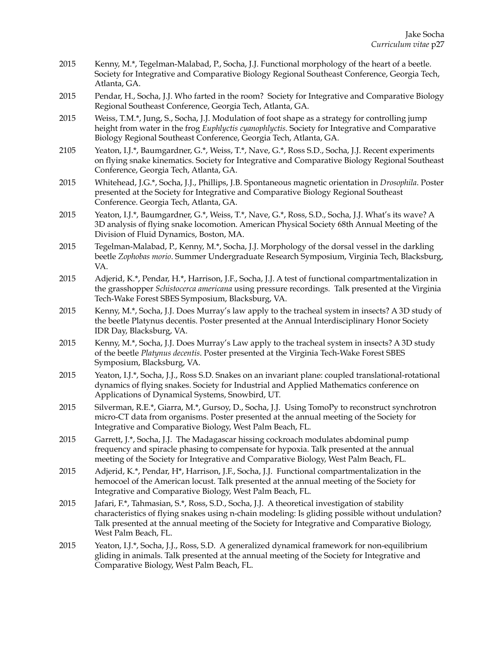- 2015 Kenny, M.\*, Tegelman-Malabad, P., Socha, J.J. Functional morphology of the heart of a beetle. Society for Integrative and Comparative Biology Regional Southeast Conference, Georgia Tech, Atlanta, GA.
- 2015 Pendar, H., Socha, J.J. Who farted in the room? Society for Integrative and Comparative Biology Regional Southeast Conference, Georgia Tech, Atlanta, GA.
- 2015 Weiss, T.M.\*, Jung, S., Socha, J.J. Modulation of foot shape as a strategy for controlling jump height from water in the frog *Euphlyctis cyanophlyctis*. Society for Integrative and Comparative Biology Regional Southeast Conference, Georgia Tech, Atlanta, GA.
- 2105 Yeaton, I.J.\*, Baumgardner, G.\*, Weiss, T.\*, Nave, G.\*, Ross S.D., Socha, J.J. Recent experiments on flying snake kinematics. Society for Integrative and Comparative Biology Regional Southeast Conference, Georgia Tech, Atlanta, GA.
- 2015 Whitehead, J.G.\*, Socha, J.J., Phillips, J.B. Spontaneous magnetic orientation in *Drosophila*. Poster presented at the Society for Integrative and Comparative Biology Regional Southeast Conference. Georgia Tech, Atlanta, GA.
- 2015 Yeaton, I.J.\*, Baumgardner, G.\*, Weiss, T.\*, Nave, G.\*, Ross, S.D., Socha, J.J. What's its wave? A 3D analysis of flying snake locomotion. American Physical Society 68th Annual Meeting of the Division of Fluid Dynamics, Boston, MA.
- 2015 Tegelman-Malabad, P., Kenny, M.\*, Socha, J.J. Morphology of the dorsal vessel in the darkling beetle *Zophobas morio*. Summer Undergraduate Research Symposium, Virginia Tech, Blacksburg, VA.
- 2015 Adjerid, K.\*, Pendar, H.\*, Harrison, J.F., Socha, J.J. A test of functional compartmentalization in the grasshopper *Schistocerca americana* using pressure recordings. Talk presented at the Virginia Tech-Wake Forest SBES Symposium, Blacksburg, VA.
- 2015 Kenny, M.\*, Socha, J.J. Does Murray's law apply to the tracheal system in insects? A 3D study of the beetle Platynus decentis. Poster presented at the Annual Interdisciplinary Honor Society IDR Day, Blacksburg, VA.
- 2015 Kenny, M.\*, Socha, J.J. Does Murray's Law apply to the tracheal system in insects? A 3D study of the beetle *Platynus decentis*. Poster presented at the Virginia Tech-Wake Forest SBES Symposium, Blacksburg, VA.
- 2015 Yeaton, I.J.\*, Socha, J.J., Ross S.D. Snakes on an invariant plane: coupled translational-rotational dynamics of flying snakes. Society for Industrial and Applied Mathematics conference on Applications of Dynamical Systems, Snowbird, UT.
- 2015 Silverman, R.E.\*, Giarra, M.\*, Gursoy, D., Socha, J.J. Using TomoPy to reconstruct synchrotron micro-CT data from organisms. Poster presented at the annual meeting of the Society for Integrative and Comparative Biology, West Palm Beach, FL.
- 2015 Garrett, J.\*, Socha, J.J. The Madagascar hissing cockroach modulates abdominal pump frequency and spiracle phasing to compensate for hypoxia. Talk presented at the annual meeting of the Society for Integrative and Comparative Biology, West Palm Beach, FL.
- 2015 Adjerid, K.\*, Pendar, H\*, Harrison, J.F., Socha, J.J. Functional compartmentalization in the hemocoel of the American locust. Talk presented at the annual meeting of the Society for Integrative and Comparative Biology, West Palm Beach, FL.
- 2015 Jafari, F.\*, Tahmasian, S.\*, Ross, S.D., Socha, J.J. A theoretical investigation of stability characteristics of flying snakes using n-chain modeling: Is gliding possible without undulation? Talk presented at the annual meeting of the Society for Integrative and Comparative Biology, West Palm Beach, FL.
- 2015 Yeaton, I.J.\*, Socha, J.J., Ross, S.D. A generalized dynamical framework for non-equilibrium gliding in animals. Talk presented at the annual meeting of the Society for Integrative and Comparative Biology, West Palm Beach, FL.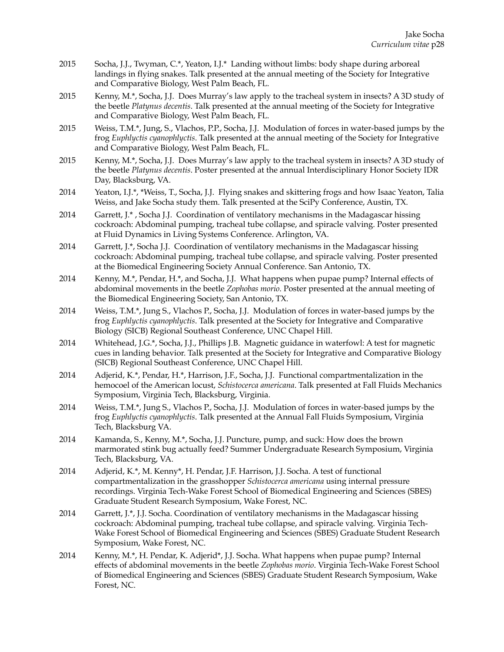- 2015 Socha, J.J., Twyman, C.\*, Yeaton, I.J.\* Landing without limbs: body shape during arboreal landings in flying snakes. Talk presented at the annual meeting of the Society for Integrative and Comparative Biology, West Palm Beach, FL.
- 2015 Kenny, M.\*, Socha, J.J. Does Murray's law apply to the tracheal system in insects? A 3D study of the beetle *Platynus decentis*. Talk presented at the annual meeting of the Society for Integrative and Comparative Biology, West Palm Beach, FL.
- 2015 Weiss, T.M.\*, Jung, S., Vlachos, P.P., Socha, J.J. Modulation of forces in water-based jumps by the frog *Euphlyctis cyanophlyctis*. Talk presented at the annual meeting of the Society for Integrative and Comparative Biology, West Palm Beach, FL.
- 2015 Kenny, M.\*, Socha, J.J. Does Murray's law apply to the tracheal system in insects? A 3D study of the beetle *Platynus decentis*. Poster presented at the annual Interdisciplinary Honor Society IDR Day, Blacksburg, VA.
- 2014 Yeaton, I.J.\*, \*Weiss, T., Socha, J.J. Flying snakes and skittering frogs and how Isaac Yeaton, Talia Weiss, and Jake Socha study them. Talk presented at the SciPy Conference, Austin, TX.
- 2014 Garrett, J.\* , Socha J.J. Coordination of ventilatory mechanisms in the Madagascar hissing cockroach: Abdominal pumping, tracheal tube collapse, and spiracle valving. Poster presented at Fluid Dynamics in Living Systems Conference. Arlington, VA.
- 2014 Garrett, J.\*, Socha J.J. Coordination of ventilatory mechanisms in the Madagascar hissing cockroach: Abdominal pumping, tracheal tube collapse, and spiracle valving. Poster presented at the Biomedical Engineering Society Annual Conference. San Antonio, TX.
- 2014 Kenny, M.\*, Pendar, H.\*, and Socha, J.J. What happens when pupae pump? Internal effects of abdominal movements in the beetle *Zophobas morio*. Poster presented at the annual meeting of the Biomedical Engineering Society, San Antonio, TX.
- 2014 Weiss, T.M.\*, Jung S., Vlachos P., Socha, J.J. Modulation of forces in water-based jumps by the frog *Euphlyctis cyanophlyctis*. Talk presented at the Society for Integrative and Comparative Biology (SICB) Regional Southeast Conference, UNC Chapel Hill.
- 2014 Whitehead, J.G.\*, Socha, J.J., Phillips J.B. Magnetic guidance in waterfowl: A test for magnetic cues in landing behavior. Talk presented at the Society for Integrative and Comparative Biology (SICB) Regional Southeast Conference, UNC Chapel Hill.
- 2014 Adjerid, K.\*, Pendar, H.\*, Harrison, J.F., Socha, J.J. Functional compartmentalization in the hemocoel of the American locust, *Schistocerca americana*. Talk presented at Fall Fluids Mechanics Symposium, Virginia Tech, Blacksburg, Virginia.
- 2014 Weiss, T.M.\*, Jung S., Vlachos P., Socha, J.J. Modulation of forces in water-based jumps by the frog *Euphlyctis cyanophlyctis*. Talk presented at the Annual Fall Fluids Symposium, Virginia Tech, Blacksburg VA.
- 2014 Kamanda, S., Kenny, M.\*, Socha, J.J. Puncture, pump, and suck: How does the brown marmorated stink bug actually feed? Summer Undergraduate Research Symposium, Virginia Tech, Blacksburg, VA.
- 2014 Adjerid, K.\*, M. Kenny\*, H. Pendar, J.F. Harrison, J.J. Socha. A test of functional compartmentalization in the grasshopper *Schistocerca americana* using internal pressure recordings. Virginia Tech-Wake Forest School of Biomedical Engineering and Sciences (SBES) Graduate Student Research Symposium, Wake Forest, NC.
- 2014 Garrett, J.\*, J.J. Socha. Coordination of ventilatory mechanisms in the Madagascar hissing cockroach: Abdominal pumping, tracheal tube collapse, and spiracle valving. Virginia Tech-Wake Forest School of Biomedical Engineering and Sciences (SBES) Graduate Student Research Symposium, Wake Forest, NC.
- 2014 Kenny, M.\*, H. Pendar, K. Adjerid\*, J.J. Socha. What happens when pupae pump? Internal effects of abdominal movements in the beetle *Zophobas morio*. Virginia Tech-Wake Forest School of Biomedical Engineering and Sciences (SBES) Graduate Student Research Symposium, Wake Forest, NC.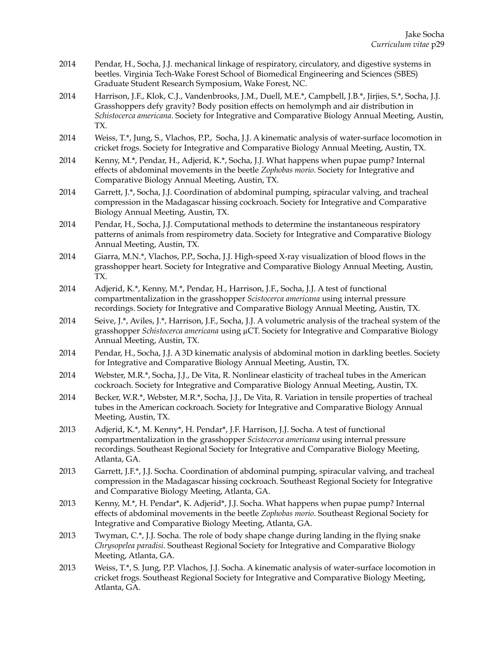- 2014 Pendar, H., Socha, J.J. mechanical linkage of respiratory, circulatory, and digestive systems in beetles. Virginia Tech-Wake Forest School of Biomedical Engineering and Sciences (SBES) Graduate Student Research Symposium, Wake Forest, NC.
- 2014 Harrison, J.F., Klok, C.J., Vandenbrooks, J.M., Duell, M.E.\*, Campbell, J.B.\*, Jirjies, S.\*, Socha, J.J. Grasshoppers defy gravity? Body position effects on hemolymph and air distribution in *Schistocerca americana*. Society for Integrative and Comparative Biology Annual Meeting, Austin, TX.
- 2014 Weiss, T.\*, Jung, S., Vlachos, P.P., Socha, J.J. A kinematic analysis of water-surface locomotion in cricket frogs. Society for Integrative and Comparative Biology Annual Meeting, Austin, TX.
- 2014 Kenny, M.\*, Pendar, H., Adjerid, K.\*, Socha, J.J. What happens when pupae pump? Internal effects of abdominal movements in the beetle *Zophobas morio*. Society for Integrative and Comparative Biology Annual Meeting, Austin, TX.
- 2014 Garrett, J.\*, Socha, J.J. Coordination of abdominal pumping, spiracular valving, and tracheal compression in the Madagascar hissing cockroach. Society for Integrative and Comparative Biology Annual Meeting, Austin, TX.
- 2014 Pendar, H., Socha, J.J. Computational methods to determine the instantaneous respiratory patterns of animals from respirometry data. Society for Integrative and Comparative Biology Annual Meeting, Austin, TX.
- 2014 Giarra, M.N.\*, Vlachos, P.P., Socha, J.J. High-speed X-ray visualization of blood flows in the grasshopper heart. Society for Integrative and Comparative Biology Annual Meeting, Austin, TX.
- 2014 Adjerid, K.\*, Kenny, M.\*, Pendar, H., Harrison, J.F., Socha, J.J. A test of functional compartmentalization in the grasshopper *Scistocerca americana* using internal pressure recordings. Society for Integrative and Comparative Biology Annual Meeting, Austin, TX.
- 2014 Seive, J.\*, Aviles, J.\*, Harrison, J.F., Socha, J.J. A volumetric analysis of the tracheal system of the grasshopper *Schistocerca americana* using µCT. Society for Integrative and Comparative Biology Annual Meeting, Austin, TX.
- 2014 Pendar, H., Socha, J.J. A 3D kinematic analysis of abdominal motion in darkling beetles. Society for Integrative and Comparative Biology Annual Meeting, Austin, TX.
- 2014 Webster, M.R.\*, Socha, J.J., De Vita, R. Nonlinear elasticity of tracheal tubes in the American cockroach. Society for Integrative and Comparative Biology Annual Meeting, Austin, TX.
- 2014 Becker, W.R.\*, Webster, M.R.\*, Socha, J.J., De Vita, R. Variation in tensile properties of tracheal tubes in the American cockroach. Society for Integrative and Comparative Biology Annual Meeting, Austin, TX.
- 2013 Adjerid, K.\*, M. Kenny\*, H. Pendar\*, J.F. Harrison, J.J. Socha. A test of functional compartmentalization in the grasshopper *Scistocerca americana* using internal pressure recordings. Southeast Regional Society for Integrative and Comparative Biology Meeting, Atlanta, GA.
- 2013 Garrett, J.F.\*, J.J. Socha. Coordination of abdominal pumping, spiracular valving, and tracheal compression in the Madagascar hissing cockroach. Southeast Regional Society for Integrative and Comparative Biology Meeting, Atlanta, GA.
- 2013 Kenny, M.\*, H. Pendar\*, K. Adjerid\*, J.J. Socha. What happens when pupae pump? Internal effects of abdominal movements in the beetle *Zophobas morio*. Southeast Regional Society for Integrative and Comparative Biology Meeting, Atlanta, GA.
- 2013 Twyman, C.\*, J.J. Socha. The role of body shape change during landing in the flying snake *Chrysopelea paradisi*. Southeast Regional Society for Integrative and Comparative Biology Meeting, Atlanta, GA.
- 2013 Weiss, T.\*, S. Jung, P.P. Vlachos, J.J. Socha. A kinematic analysis of water-surface locomotion in cricket frogs. Southeast Regional Society for Integrative and Comparative Biology Meeting, Atlanta, GA.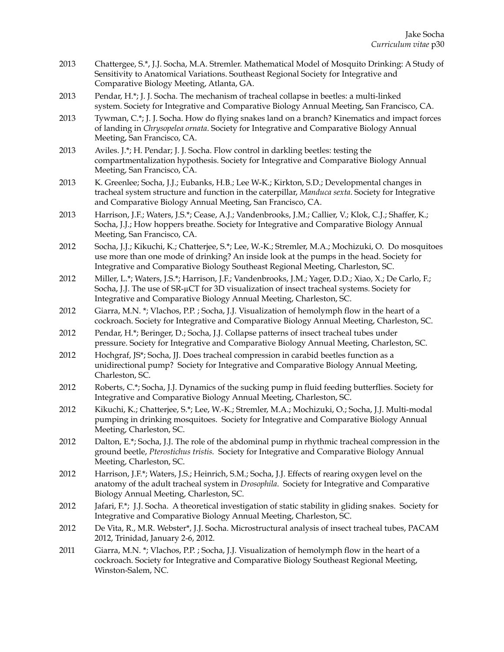- 2013 Chattergee, S.\*, J.J. Socha, M.A. Stremler. Mathematical Model of Mosquito Drinking: A Study of Sensitivity to Anatomical Variations. Southeast Regional Society for Integrative and Comparative Biology Meeting, Atlanta, GA.
- 2013 Pendar, H.\*; J. J. Socha. The mechanism of tracheal collapse in beetles: a multi-linked system. Society for Integrative and Comparative Biology Annual Meeting, San Francisco, CA.
- 2013 Tywman, C.\*; J. J. Socha. How do flying snakes land on a branch? Kinematics and impact forces of landing in *Chrysopelea ornata*. Society for Integrative and Comparative Biology Annual Meeting, San Francisco, CA.
- 2013 Aviles. J.\*; H. Pendar; J. J. Socha. Flow control in darkling beetles: testing the compartmentalization hypothesis. Society for Integrative and Comparative Biology Annual Meeting, San Francisco, CA.
- 2013 K. Greenlee; Socha, J.J.; Eubanks, H.B.; Lee W-K.; Kirkton, S.D.; Developmental changes in tracheal system structure and function in the caterpillar, *Manduca sexta*. Society for Integrative and Comparative Biology Annual Meeting, San Francisco, CA.
- 2013 Harrison, J.F.; Waters, J.S.\*; Cease, A.J.; Vandenbrooks, J.M.; Callier, V.; Klok, C.J.; Shaffer, K.; Socha, J.J.; How hoppers breathe. Society for Integrative and Comparative Biology Annual Meeting, San Francisco, CA.
- 2012 Socha, J.J.; Kikuchi, K.; Chatterjee, S.\*; Lee, W.-K.; Stremler, M.A.; Mochizuki, O. Do mosquitoes use more than one mode of drinking? An inside look at the pumps in the head. Society for Integrative and Comparative Biology Southeast Regional Meeting, Charleston, SC.
- 2012 Miller, L.\*; Waters, J.S.\*; Harrison, J.F.; Vandenbrooks, J.M.; Yager, D.D.; Xiao, X.; De Carlo, F.; Socha, J.J. The use of SR-µ[CT for 3D visualization of insect tracheal systems](http://www.sicb.org/meetings/2012/schedule/abstractdetails.php?id=1397). Society for Integrative and Comparative Biology Annual Meeting, Charleston, SC.
- 2012 Giarra, M.N. \*; Vlachos, P.P. ; Socha, J.J. [Visualization of hemolymph flow in the heart of a](http://www.sicb.org/meetings/2012/schedule/abstractdetails.php?id=1361)  [cockroach.](http://www.sicb.org/meetings/2012/schedule/abstractdetails.php?id=1361) Society for Integrative and Comparative Biology Annual Meeting, Charleston, SC.
- 2012 Pendar, H.\*; Beringer, D.; Socha, J.J. [Collapse patterns of insect tracheal tubes under](http://www.sicb.org/meetings/2012/schedule/abstractdetails.php?id=1440)  [pressure.](http://www.sicb.org/meetings/2012/schedule/abstractdetails.php?id=1440) Society for Integrative and Comparative Biology Annual Meeting, Charleston, SC.
- 2012 Hochgraf, JS\*; Socha, JJ. [Does tracheal compression in carabid beetles function as a](http://www.sicb.org/meetings/2012/schedule/abstractdetails.php?id=951)  [unidirectional pump?](http://www.sicb.org/meetings/2012/schedule/abstractdetails.php?id=951) Society for Integrative and Comparative Biology Annual Meeting, Charleston, SC.
- 2012 Roberts, C.\*; Socha, J.J. [Dynamics of the sucking pump in fluid feeding butterflies.](http://www.sicb.org/meetings/2012/schedule/abstractdetails.php?id=1127) Society for Integrative and Comparative Biology Annual Meeting, Charleston, SC.
- 2012 Kikuchi, K.; Chatterjee, S.\*; Lee, W.-K.; Stremler, M.A.; Mochizuki, O.; Socha, J.J. [Multi-modal](http://www.sicb.org/meetings/2012/schedule/abstractdetails.php?id=1436)  [pumping in drinking mosquitoes.](http://www.sicb.org/meetings/2012/schedule/abstractdetails.php?id=1436) Society for Integrative and Comparative Biology Annual Meeting, Charleston, SC.
- 2012 [Dalton, E.\\*; Socha, J.J. The role of the abdominal pump in rhythmic tracheal compression in the](http://www.sicb.org/meetings/2012/schedule/abstractdetails.php?id=1391)  ground beetle, *[Pterostichus tristis.](http://www.sicb.org/meetings/2012/schedule/abstractdetails.php?id=1391)* Society for Integrative and Comparative Biology Annual Meeting, Charleston, SC.
- 2012 Harrison, J.F.\*; Waters, J.S.; Heinrich, S.M.; Socha, J.J. [Effects of rearing oxygen level on the](http://www.sicb.org/meetings/2012/schedule/abstractdetails.php?id=1443)  [anatomy of the adult tracheal system in](http://www.sicb.org/meetings/2012/schedule/abstractdetails.php?id=1443) *Drosophila*. Society for Integrative and Comparative Biology Annual Meeting, Charleston, SC.
- 2012 Jafari, F.\*; J.J. Socha. [A theoretical investigation of static stability in gliding snakes](http://www.sicb.org/meetings/2012/schedule/abstractdetails.php?id=1390). Society for Integrative and Comparative Biology Annual Meeting, Charleston, SC.
- 2012 De Vita, R., M.R. Webster\*, J.J. Socha. Microstructural analysis of insect tracheal tubes, PACAM 2012, Trinidad, January 2-6, 2012.
- 2011 Giarra, M.N. \*; Vlachos, P.P. ; Socha, J.J. Visualization of hemolymph flow in the heart of a cockroach. Society for Integrative and Comparative Biology Southeast Regional Meeting, Winston-Salem, NC.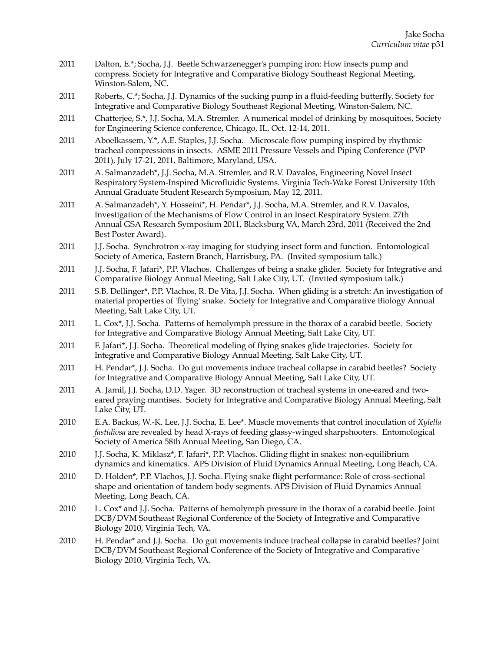- 2011 Dalton, E.\*; Socha, J.J. Beetle Schwarzenegger's pumping iron: How insects pump and compress. Society for Integrative and Comparative Biology Southeast Regional Meeting, Winston-Salem, NC.
- 2011 Roberts, C.\*; Socha, J.J. Dynamics of the sucking pump in a fluid-feeding butterfly. Society for Integrative and Comparative Biology Southeast Regional Meeting, Winston-Salem, NC.
- 2011 Chatterjee, S.\*, J.J. Socha, M.A. Stremler. A numerical model of drinking by mosquitoes, Society for Engineering Science conference, Chicago, IL, Oct. 12-14, 2011.
- 2011 Aboelkassem, Y.\*, A.E. Staples, J.J. Socha. Microscale flow pumping inspired by rhythmic tracheal compressions in insects. ASME 2011 Pressure Vessels and Piping Conference (PVP 2011), July 17-21, 2011, Baltimore, Maryland, USA.
- 2011 A. Salmanzadeh\*, J.J. Socha, M.A. Stremler, and R.V. Davalos, Engineering Novel Insect Respiratory System-Inspired Microfluidic Systems. Virginia Tech-Wake Forest University 10th Annual Graduate Student Research Symposium, May 12, 2011.
- 2011 A. Salmanzadeh\*, Y. Hosseini\*, H. Pendar\*, J.J. Socha, M.A. Stremler, and R.V. Davalos, Investigation of the Mechanisms of Flow Control in an Insect Respiratory System. 27th Annual GSA Research Symposium 2011, Blacksburg VA, March 23rd, 2011 (Received the 2nd Best Poster Award).
- 2011 J.J. Socha. Synchrotron x-ray imaging for studying insect form and function. Entomological Society of America, Eastern Branch, Harrisburg, PA. (Invited symposium talk.)
- 2011 J.J. Socha, F. Jafari\*, P.P. Vlachos. Challenges of being a snake glider. Society for Integrative and Comparative Biology Annual Meeting, Salt Lake City, UT. (Invited symposium talk.)
- 2011 S.B. Dellinger\*, P.P. Vlachos, R. De Vita, J.J. Socha. When gliding is a stretch: An investigation of material properties of 'flying' snake. Society for Integrative and Comparative Biology Annual Meeting, Salt Lake City, UT.
- 2011 L. Cox<sup>\*</sup>, J.J. Socha. Patterns of hemolymph pressure in the thorax of a carabid beetle. Society for Integrative and Comparative Biology Annual Meeting, Salt Lake City, UT.
- 2011 F. Jafari\*, J.J. Socha. Theoretical modeling of flying snakes glide trajectories. Society for Integrative and Comparative Biology Annual Meeting, Salt Lake City, UT.
- 2011 H. Pendar\*, J.J. Socha. Do gut movements induce tracheal collapse in carabid beetles? Society for Integrative and Comparative Biology Annual Meeting, Salt Lake City, UT.
- 2011 A. Jamil, J.J. Socha, D.D. Yager. 3D reconstruction of tracheal systems in one-eared and twoeared praying mantises. Society for Integrative and Comparative Biology Annual Meeting, Salt Lake City, UT.
- 2010 E.A. Backus, W.-K. Lee, J.J. Socha, E. Lee\*. Muscle movements that control inoculation of *Xylella fastidiosa* are revealed by head X-rays of feeding glassy-winged sharpshooters. Entomological Society of America 58th Annual Meeting, San Diego, CA.
- 2010 J.J. Socha, K. Miklasz\*, F. Jafari\*, P.P. Vlachos. Gliding flight in snakes: non-equilibrium dynamics and kinematics. APS Division of Fluid Dynamics Annual Meeting, Long Beach, CA.
- 2010 D. Holden\*, P.P. Vlachos, J.J. Socha. Flying snake flight performance: Role of cross-sectional shape and orientation of tandem body segments. APS Division of Fluid Dynamics Annual Meeting, Long Beach, CA.
- 2010 L. Cox\* and J.J. Socha. Patterns of hemolymph pressure in the thorax of a carabid beetle. Joint DCB/DVM Southeast Regional Conference of the Society of Integrative and Comparative Biology 2010, Virginia Tech, VA.
- 2010 H. Pendar\* and J.J. Socha. Do gut movements induce tracheal collapse in carabid beetles? Joint DCB/DVM Southeast Regional Conference of the Society of Integrative and Comparative Biology 2010, Virginia Tech, VA.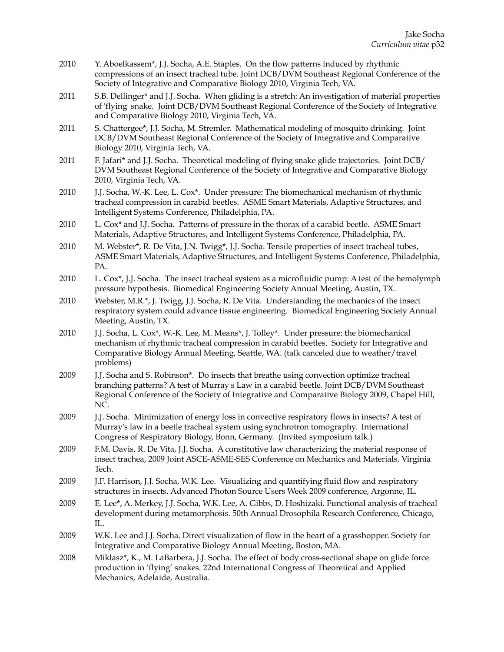- 2010 Y. Aboelkassem\*, J.J. Socha, A.E. Staples. On the flow patterns induced by rhythmic compressions of an insect tracheal tube. Joint DCB/DVM Southeast Regional Conference of the Society of Integrative and Comparative Biology 2010, Virginia Tech, VA.
- 2011 S.B. Dellinger\* and J.J. Socha. When gliding is a stretch: An investigation of material properties of 'flying' snake. Joint DCB/DVM Southeast Regional Conference of the Society of Integrative and Comparative Biology 2010, Virginia Tech, VA.
- 2011 S. Chattergee\*, J.J. Socha, M. Stremler. Mathematical modeling of mosquito drinking. Joint DCB/DVM Southeast Regional Conference of the Society of Integrative and Comparative Biology 2010, Virginia Tech, VA.
- 2011 F. Jafari\* and J.J. Socha. Theoretical modeling of flying snake glide trajectories. Joint DCB/ DVM Southeast Regional Conference of the Society of Integrative and Comparative Biology 2010, Virginia Tech, VA.
- 2010 J.J. Socha, W.-K. Lee, L. Cox\*. Under pressure: The biomechanical mechanism of rhythmic tracheal compression in carabid beetles. ASME Smart Materials, Adaptive Structures, and Intelligent Systems Conference, Philadelphia, PA.
- 2010 L. Cox\* and J.J. Socha. Patterns of pressure in the thorax of a carabid beetle. ASME Smart Materials, Adaptive Structures, and Intelligent Systems Conference, Philadelphia, PA.
- 2010 M. Webster\*, R. De Vita, J.N. Twigg\*, J.J. Socha. Tensile properties of insect tracheal tubes, ASME Smart Materials, Adaptive Structures, and Intelligent Systems Conference, Philadelphia, PA.
- 2010 L. Cox\*, J.J. Socha. The insect tracheal system as a microfluidic pump: A test of the hemolymph pressure hypothesis. Biomedical Engineering Society Annual Meeting, Austin, TX.
- 2010 Webster, M.R.\*, J. Twigg, J.J. Socha, R. De Vita. Understanding the mechanics of the insect respiratory system could advance tissue engineering. Biomedical Engineering Society Annual Meeting, Austin, TX.
- 2010 J.J. Socha, L. Cox\*, W.-K. Lee, M. Means\*, J. Tolley\*. Under pressure: the biomechanical mechanism of rhythmic tracheal compression in carabid beetles. Society for Integrative and Comparative Biology Annual Meeting, Seattle, WA. (talk canceled due to weather/travel problems)
- 2009 J.J. Socha and S. Robinson\*. Do insects that breathe using convection optimize tracheal branching patterns? A test of Murray's Law in a carabid beetle. Joint DCB/DVM Southeast Regional Conference of the Society of Integrative and Comparative Biology 2009, Chapel Hill, NC.
- 2009 J.J. Socha. Minimization of energy loss in convective respiratory flows in insects? A test of Murray's law in a beetle tracheal system using synchrotron tomography. International Congress of Respiratory Biology, Bonn, Germany. (Invited symposium talk.)
- 2009 F.M. Davis, R. De Vita, J.J. Socha. A constitutive law characterizing the material response of insect trachea, 2009 Joint ASCE-ASME-SES Conference on Mechanics and Materials, Virginia Tech.
- 2009 J.F. Harrison, J.J. Socha, W.K. Lee. Visualizing and quantifying fluid flow and respiratory structures in insects. Advanced Photon Source Users Week 2009 conference, Argonne, IL.
- 2009 E. Lee\*, A. Merkey, J.J. Socha, W.K. Lee, A. Gibbs, D. Hoshizaki. Functional analysis of tracheal development during metamorphosis. 50th Annual Drosophila Research Conference, Chicago, IL.
- 2009 W.K. Lee and J.J. Socha. Direct visualization of flow in the heart of a grasshopper. Society for Integrative and Comparative Biology Annual Meeting, Boston, MA.
- 2008 Miklasz\*, K., M. LaBarbera, J.J. Socha. The effect of body cross-sectional shape on glide force production in 'flying' snakes. 22nd International Congress of Theoretical and Applied Mechanics, Adelaide, Australia.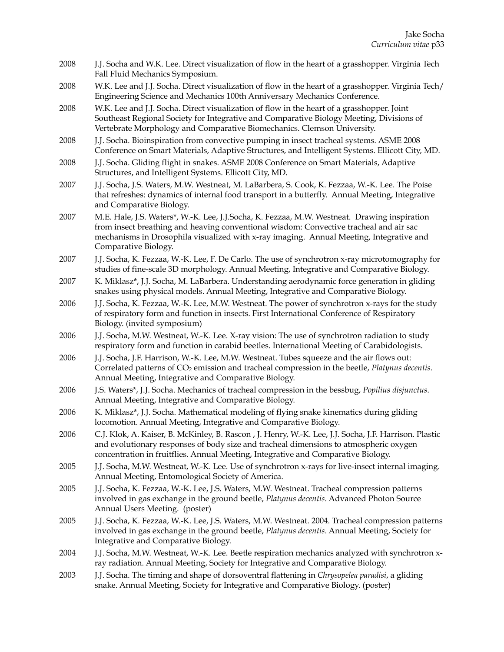- 2008 J.J. Socha and W.K. Lee. Direct visualization of flow in the heart of a grasshopper. Virginia Tech Fall Fluid Mechanics Symposium.
- 2008 W.K. Lee and J.J. Socha. Direct visualization of flow in the heart of a grasshopper. Virginia Tech/ Engineering Science and Mechanics 100th Anniversary Mechanics Conference.
- 2008 W.K. Lee and J.J. Socha. Direct visualization of flow in the heart of a grasshopper. Joint Southeast Regional Society for Integrative and Comparative Biology Meeting, Divisions of Vertebrate Morphology and Comparative Biomechanics. Clemson University.
- 2008 J.J. Socha. Bioinspiration from convective pumping in insect tracheal systems. ASME 2008 Conference on Smart Materials, Adaptive Structures, and Intelligent Systems. Ellicott City, MD.
- 2008 J.J. Socha. Gliding flight in snakes. ASME 2008 Conference on Smart Materials, Adaptive Structures, and Intelligent Systems. Ellicott City, MD.
- 2007 J.J. Socha, J.S. Waters, M.W. Westneat, M. LaBarbera, S. Cook, K. Fezzaa, W.-K. Lee. The Poise that refreshes: dynamics of internal food transport in a butterfly. Annual Meeting, Integrative and Comparative Biology.
- 2007 M.E. Hale, J.S. Waters\*, W.-K. Lee, J.J.Socha, K. Fezzaa, M.W. Westneat. Drawing inspiration from insect breathing and heaving conventional wisdom: Convective tracheal and air sac mechanisms in Drosophila visualized with x-ray imaging. Annual Meeting, Integrative and Comparative Biology.
- 2007 J.J. Socha, K. Fezzaa, W.-K. Lee, F. De Carlo. The use of synchrotron x-ray microtomography for studies of fine-scale 3D morphology. Annual Meeting, Integrative and Comparative Biology.
- 2007 K. Miklasz\*, J.J. Socha, M. LaBarbera. Understanding aerodynamic force generation in gliding snakes using physical models. Annual Meeting, Integrative and Comparative Biology.
- 2006 J.J. Socha, K. Fezzaa, W.-K. Lee, M.W. Westneat. The power of synchrotron x-rays for the study of respiratory form and function in insects. First International Conference of Respiratory Biology. (invited symposium)
- 2006 J.J. Socha, M.W. Westneat, W.-K. Lee. X-ray vision: The use of synchrotron radiation to study respiratory form and function in carabid beetles. International Meeting of Carabidologists.
- 2006 J.J. Socha, J.F. Harrison, W.-K. Lee, M.W. Westneat. Tubes squeeze and the air flows out: Correlated patterns of CO2 emission and tracheal compression in the beetle, *Platynus decentis*. Annual Meeting, Integrative and Comparative Biology.
- 2006 J.S. Waters\*, J.J. Socha. Mechanics of tracheal compression in the bessbug, *Popilius disjunctus*. Annual Meeting, Integrative and Comparative Biology.
- 2006 K. Miklasz\*, J.J. Socha. Mathematical modeling of flying snake kinematics during gliding locomotion. Annual Meeting, Integrative and Comparative Biology.
- 2006 C.J. Klok, A. Kaiser, B. McKinley, B. Rascon , J. Henry, W.-K. Lee, J.J. Socha, J.F. Harrison. Plastic and evolutionary responses of body size and tracheal dimensions to atmospheric oxygen concentration in fruitflies. Annual Meeting, Integrative and Comparative Biology.
- 2005 J.J. Socha, M.W. Westneat, W.-K. Lee. Use of synchrotron x-rays for live-insect internal imaging. Annual Meeting, Entomological Society of America.
- 2005 J.J. Socha, K. Fezzaa, W.-K. Lee, J.S. Waters, M.W. Westneat. Tracheal compression patterns involved in gas exchange in the ground beetle, *Platynus decentis*. Advanced Photon Source Annual Users Meeting. (poster)
- 2005 J.J. Socha, K. Fezzaa, W.-K. Lee, J.S. Waters, M.W. Westneat. 2004. Tracheal compression patterns involved in gas exchange in the ground beetle, *Platynus decentis*. Annual Meeting, Society for Integrative and Comparative Biology.
- 2004 J.J. Socha, M.W. Westneat, W.-K. Lee. Beetle respiration mechanics analyzed with synchrotron xray radiation. Annual Meeting, Society for Integrative and Comparative Biology.
- 2003 J.J. Socha. The timing and shape of dorsoventral flattening in *Chrysopelea paradisi*, a gliding snake. Annual Meeting, Society for Integrative and Comparative Biology. (poster)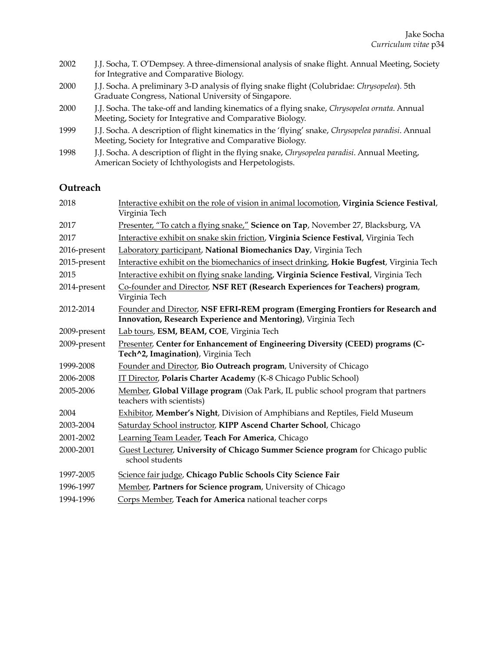| 2002 | J.J. Socha, T. O'Dempsey. A three-dimensional analysis of snake flight. Annual Meeting, Society<br>for Integrative and Comparative Biology.                     |
|------|-----------------------------------------------------------------------------------------------------------------------------------------------------------------|
| 2000 | J.J. Socha. A preliminary 3-D analysis of flying snake flight (Colubridae: Chrysopelea). 5th<br>Graduate Congress, National University of Singapore.            |
| 2000 | J.J. Socha. The take-off and landing kinematics of a flying snake, Chrysopelea ornata. Annual<br>Meeting, Society for Integrative and Comparative Biology.      |
| 1999 | J.J. Socha. A description of flight kinematics in the 'flying' snake, Chrysopelea paradisi. Annual<br>Meeting, Society for Integrative and Comparative Biology. |
| 1998 | J.J. Socha. A description of flight in the flying snake, Chrysopelea paradisi. Annual Meeting,<br>American Society of Ichthyologists and Herpetologists.        |

# **Outreach**

| 2018         | Interactive exhibit on the role of vision in animal locomotion, Virginia Science Festival,<br>Virginia Tech                                      |
|--------------|--------------------------------------------------------------------------------------------------------------------------------------------------|
| 2017         | Presenter, "To catch a flying snake," Science on Tap, November 27, Blacksburg, VA                                                                |
| 2017         | Interactive exhibit on snake skin friction, Virginia Science Festival, Virginia Tech                                                             |
| 2016-present | Laboratory participant, National Biomechanics Day, Virginia Tech                                                                                 |
| 2015-present | Interactive exhibit on the biomechanics of insect drinking, Hokie Bugfest, Virginia Tech                                                         |
| 2015         | Interactive exhibit on flying snake landing, Virginia Science Festival, Virginia Tech                                                            |
| 2014-present | Co-founder and Director, NSF RET (Research Experiences for Teachers) program,<br>Virginia Tech                                                   |
| 2012-2014    | Founder and Director, NSF EFRI-REM program (Emerging Frontiers for Research and<br>Innovation, Research Experience and Mentoring), Virginia Tech |
| 2009-present | Lab tours, ESM, BEAM, COE, Virginia Tech                                                                                                         |
| 2009-present | Presenter, Center for Enhancement of Engineering Diversity (CEED) programs (C-<br>Tech^2, Imagination), Virginia Tech                            |
| 1999-2008    | Founder and Director, Bio Outreach program, University of Chicago                                                                                |
| 2006-2008    | IT Director, Polaris Charter Academy (K-8 Chicago Public School)                                                                                 |
| 2005-2006    | Member, Global Village program (Oak Park, IL public school program that partners<br>teachers with scientists)                                    |
| 2004         | Exhibitor, Member's Night, Division of Amphibians and Reptiles, Field Museum                                                                     |
| 2003-2004    | Saturday School instructor, KIPP Ascend Charter School, Chicago                                                                                  |
| 2001-2002    | Learning Team Leader, Teach For America, Chicago                                                                                                 |
| 2000-2001    | Guest Lecturer, University of Chicago Summer Science program for Chicago public<br>school students                                               |
| 1997-2005    | Science fair judge, Chicago Public Schools City Science Fair                                                                                     |
| 1996-1997    | Member, Partners for Science program, University of Chicago                                                                                      |
| 1994-1996    | Corps Member, Teach for America national teacher corps                                                                                           |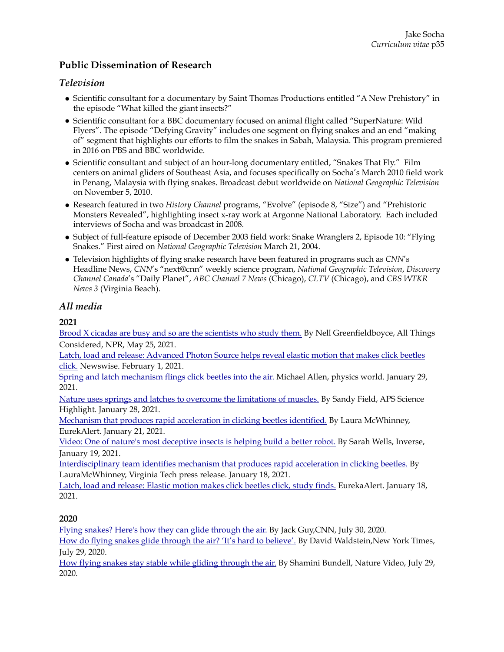# **Public Dissemination of Research**

## *Television*

- Scientific consultant for a documentary by Saint Thomas Productions entitled "A New Prehistory" in the episode "What killed the giant insects?"
- Scientific consultant for a BBC documentary focused on animal flight called "SuperNature: Wild Flyers". The episode "Defying Gravity" includes one segment on flying snakes and an end "making of" segment that highlights our efforts to film the snakes in Sabah, Malaysia. This program premiered in 2016 on PBS and BBC worldwide.
- Scientific consultant and subject of an hour-long documentary entitled, "Snakes That Fly." Film centers on animal gliders of Southeast Asia, and focuses specifically on Socha's March 2010 field work in Penang, Malaysia with flying snakes. Broadcast debut worldwide on *National Geographic Television* on November 5, 2010.
- Research featured in two *History Channel* programs, "Evolve" (episode 8, "Size") and "Prehistoric Monsters Revealed", highlighting insect x-ray work at Argonne National Laboratory. Each included interviews of Socha and was broadcast in 2008.
- Subject of full-feature episode of December 2003 field work: Snake Wranglers 2, Episode 10: "Flying Snakes." First aired on *National Geographic Television* March 21, 2004.
- Television highlights of flying snake research have been featured in programs such as *CNN*'s Headline News, *CNN*'s "next@cnn" weekly science program, *National Geographic Television*, *Discovery Channel Canada*'s "Daily Planet", *ABC Channel 7 News* (Chicago), *CLTV* (Chicago), and *CBS WTKR News 3* (Virginia Beach).

## *All media*

## **2021**

[Brood X cicadas are busy and so are the scientists who study them.](https://www.npr.org/2021/05/25/1000004028/the-arrival-of-brood-x-cicadas-kicks-off-woodstock-for-bug-scientists?live=1) By Nell Greenfieldboyce, All Things Considered, NPR, May 25, 2021.

[Latch, load and release: Advanced Photon Source helps reveal elastic motion that makes click beetles](https://www.newswise.com/doescience/?article_id=745402&returnurl=aHR0cHM6Ly93d3cubmV3c3dpc2UuY29tL2FydGljbGVzL2xpc3Q=)  [click.](https://www.newswise.com/doescience/?article_id=745402&returnurl=aHR0cHM6Ly93d3cubmV3c3dpc2UuY29tL2FydGljbGVzL2xpc3Q=) Newswise. February 1, 2021.

[Spring and latch mechanism flings click beetles into the air.](https://physicsworld.com/a/spring-and-latch-mechanism-flings-click-beetles-into-the-air/) Michael Allen, physics world. January 29, 2021.

[Nature uses springs and latches to overcome the limitations of muscles.](https://www.aps.anl.gov/APS-Science-Highlight/2021-01-28/nature-uses-springs-and-latches-to-overcome-the-limitations-of) By Sandy Field, APS Science Highlight. January 28, 2021.

[Mechanism that produces rapid acceleration in clicking beetles identified.](https://www.eurekalert.org/pub_releases/2021-01/vt-mtp012021.php) By Laura McWhinney, EurekAlert. January 21, 2021.

[Video: One of nature's most deceptive insects is helping build a better robot.](https://www.cnn.com/2020/06/30/world/flying-snakes-movement-study-scli-intl-scn/index.html) By Sarah Wells, Inverse, January 19, 2021.

[Interdisciplinary team identifies mechanism that produces rapid acceleration in clicking beetles.](https://vtnews.vt.edu/articles/2021/01/biomedical-engineering-socha-click-beetles-pnas-publication.html) By LauraMcWhinney, Virginia Tech press release. January 18, 2021.

[Latch, load and release: Elastic motion makes click beetles click, study finds.](https://www.eurekalert.org/pub_releases/2021-01/uoia-lla011421.php) EurekaAlert. January 18, 2021.

## **2020**

[Flying snakes? Here's how they can glide through the air.](https://www.cnn.com/2020/06/30/world/flying-snakes-movement-study-scli-intl-scn/index.html) By Jack Guy,CNN, July 30, 2020.

[How do flying snakes glide through the air? 'It's hard to believe'.](https://www.nytimes.com/2020/06/29/science/flying-snakes-physics.html) By David Waldstein,New York Times, July 29, 2020.

[How flying snakes stay stable while gliding through the air.](https://www.nature.com/articles/d41586-020-01935-z) By Shamini Bundell, Nature Video, July 29, 2020.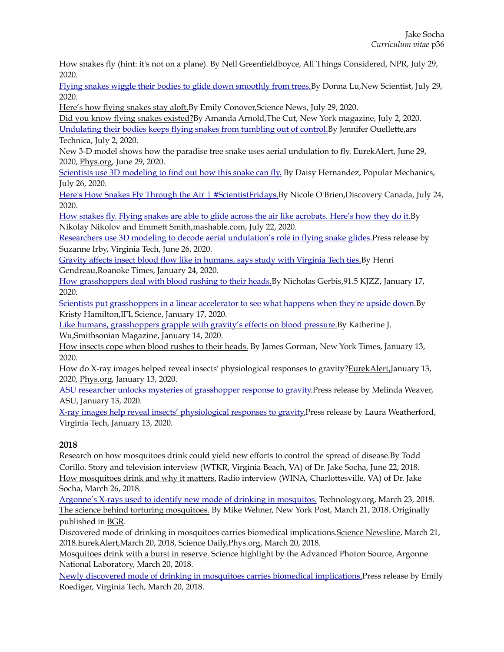[How snakes fly \(hint: it's not on a plane\).](https://www.npr.org/2020/06/29/884104072/how-snakes-fly-hint-its-not-on-a-plane) By Nell Greenfieldboyce, All Things Considered, NPR, July 29, 2020.

[Flying snakes wiggle their bodies to glide down smoothly from trees.B](https://www.newscientist.com/article/2247227-flying-snakes-wiggle-their-bodies-to-glide-down-smoothly-from-trees/)y Donna Lu,New Scientist, July 29, 2020.

[Here's how flying snakes stay aloft.](https://www.sciencenews.org/article/how-flying-snakes-stay-aloft)By Emily Conover,Science News, July 29, 2020.

[Did you know flying snakes existed?B](https://www.thecut.com/2020/07/did-you-know-flying-snakes-existed.html)y Amanda Arnold,The Cut, New York magazine, July 2, 2020. [Undulating their bodies keeps flying snakes from tumbling out of control.](https://arstechnica.com/science/2020/07/study-flying-snakes-wiggle-mid-air-to-stabilize-themselves-while-gliding/)By Jennifer Ouellette,ars Technica, July 2, 2020.

New 3-D model shows how the paradise tree snake uses aerial undulation to fly. [EurekAlert,](https://www.eurekalert.org/pub_releases/2020-06/vt-n3m062820.php) June 29, 2020, [Phys.org,](https://phys.org/news/2020-06-d-paradise-tree-snake-aerial.html) June 29, 2020.

[Scientists use 3D modeling to find out how this snake can fly.](https://www.popularmechanics.com/science/animals/a33289391/flying-snake-physics/) By Daisy Hernandez, Popular Mechanics, July 26, 2020.

[Here's How Snakes Fly Through the Air | #ScientistFridays.](https://www.facebook.com/discoverycanada/videos/heres-how-snakes-fly-through-the-air-scientistfridays/674026073183473/)By Nicole O'Brien, Discovery Canada, July 24, 2020.

[How snakes fly. Flying snakes are able to glide across the air like acrobats. Here's how they do it.B](https://mashable.com/video/snakes-fly-jake-socha-virginia-tech/)y Nikolay Nikolov and Emmett Smith,mashable.com, July 22, 2020.

[Researchers use 3D modeling to decode aerial undulation's role in flying snake glides.](https://vtnews.vt.edu/articles/2020/06/eng-flying-snakes-2020-study.html)Press release by Suzanne Irby, Virginia Tech, June 26, 2020.

[Gravity affects insect blood flow like in humans, says study with Virginia Tech ties.B](https://roanoke.com/news/education/gravity-affects-insect-blood-flow-like-in-humans-says-study/article_ca5e77fa-41fa-5d28-a987-459fc1b592a7.html)y Henri Gendreau,Roanoke Times, January 24, 2020.

[How grasshoppers deal with blood rushing to their heads.](https://kjzz.org/content/1400886/how-grasshoppers-deal-blood-rushing-their-heads)By Nicholas Gerbis,91.5 KJZZ, January 17, 2020.

[Scientists put grasshoppers in a linear accelerator to see what happens when they're upside down.B](https://www.iflscience.com/plants-and-animals/scientists-put-grasshoppers-in-a-linear-accelerator-to-see-what-happens-when-theyre-upside-down/)y Kristy Hamilton,IFL Science, January 17, 2020.

[Like humans, grasshoppers grapple with gravity's effects on blood pressure.B](https://www.smithsonianmag.com/smart-news/humans-grasshoppers-grapple-gravitys-effects-blood-pressure-180973958/)y Katherine J. Wu,Smithsonian Magazine, January 14, 2020.

[How insects cope when blood rushes to their heads.](https://www.nytimes.com/2020/01/13/science/insects-gravity.html) By James Gorman, New York Times, January 13, 2020.

How do X-ray images helped reveal insects' physiological responses to gravity[?EurekAlert,J](https://www.eurekalert.org/pub_releases/2020-01/vt-hdx010820.php)anuary 13, 2020, [Phys.org,](https://phys.org/news/2020-01-x-ray-images-reveal-insects-physiological.html) January 13, 2020.

[ASU researcher unlocks mysteries of grasshopper response to gravity.](https://asunow.asu.edu/20200113-asu-researcher-unlocks-mysteries-grasshopper-response-gravity)Press release by Melinda Weaver, ASU, January 13, 2020.

[X-ray images help reveal insects' physiological responses to gravity.](https://vtnews.vt.edu/articles/2020/01/x-ray-images-reveal-insect-responses-to-gravity.html)Press release by Laura Weatherford, Virginia Tech, January 13, 2020.

## **2018**

[Research on how mosquitoes drink could yield new efforts to control the spread of disease.B](https://wtkr.com/2018/06/22/research-on-how-mosquitoes-drink-could-yield-new-efforts-to-control-the-spread-of-disease/)y Todd Corillo. Story and television interview (WTKR, Virginia Beach, VA) of Dr. Jake Socha, June 22, 2018. [How mosquitoes drink and why it matters.](http://wina.com/podcasts/how-mosquitoes-drink-and-why-it-matters-jake-socha/) Radio interview (WINA, Charlottesville, VA) of Dr. Jake Socha, March 26, 2018.

[Argonne's X-rays used to identify new mode of drinking in mosquitos.](https://www.technology.org/2018/03/23/argonnes-x-rays-used-to-identify-new-mode-of-drinking-in-mosquitos/) Technology.org, March 23, 2018. [The science behind torturing mosquitoes.](https://nypost.com/2018/03/21/the-science-behind-torturing-mosquitoes/) By Mike Wehner, New York Post, March 21, 2018. Originally published in [BGR](http://bgr.com/2018/03/20/mosquito-torture-test-burst-mode-feeding/).

Discovered mode of drinking in mosquitoes carries biomedical implications[.Science Newsline](http://www.sciencenewsline.com/news/2018032103590098.html), March 21, 2018[.EurekAlert,M](https://www.eurekalert.org/pub_releases/2018-03/vt-dmo031818.php)arch 20, 2018, [Science Daily,](https://www.sciencedaily.com/releases/2018/03/180320084326.htm)[Phys.org](https://phys.org/news/2018-03-mode-mosquitoes-biomedical-implications.html), March 20, 2018.

[Mosquitoes drink with a burst in reserve.](https://www.aps.anl.gov/APS-Science-Highlight/2018/mosquitoes-drink-with-a-burst-in-reserve) Science highlight by the Advanced Photon Source, Argonne National Laboratory, March 20, 2018.

[Newly discovered mode of drinking in mosquitoes carries biomedical implications.](https://vtnews.vt.edu/articles/2018/03/mosquito-burst-mode.html)Press release by Emily Roediger, Virginia Tech, March 20, 2018.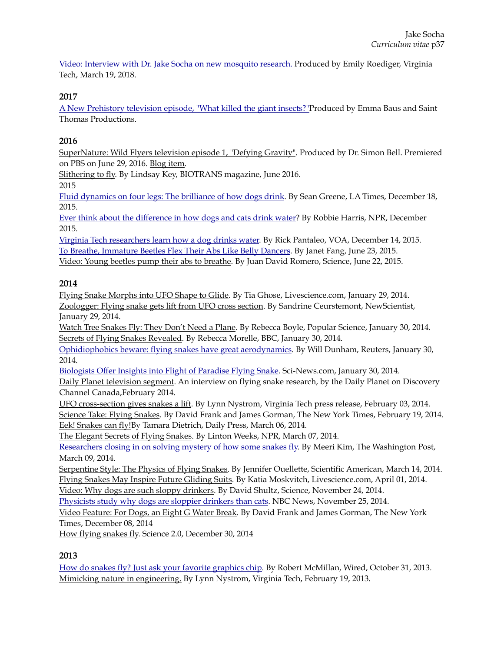[Video: Interview with Dr. Jake Socha on new mosquito research.](https://youtu.be/SdQodc0MmAI) Produced by Emily Roediger, Virginia Tech, March 19, 2018.

## **2017**

[A New Prehistory television episode, "What killed the giant insects?"P](http://www.saint-thomas.net/uk-program-66-a-new-prehistory.html)roduced by Emma Baus and Saint Thomas Productions.

## **2016**

[SuperNature: Wild Flyers television episode 1, "Defying Gravity"](http://www.pbs.org/program/super-nature-wild-flyers/). Produced by Dr. Simon Bell. Premiered on PBS on June 29, 2016. [Blog item](http://www.thesochalab.org/#!Flying-snakes-broadcast-on-PBS/c1e1p/57c33884da6989613dd4d1d9).

[Slithering to fly.](https://a18ecb65-5d3d-4cf0-bc02-191b1c129402.filesusr.com/ugd/fcf203_d9e7795064a34da4941694da4e00636f.pdf) By Lindsay Key, BIOTRANS magazine, June 2016. 2015

[Fluid dynamics on four legs: The brilliance of how dogs drink.](http://www.latimes.com/science/sciencenow/la-sci-sn-how-dogs-drink-20151215-story.html) By Sean Greene, LA Times, December 18, 2015.

[Ever think about the difference in how dogs and cats drink water?](http://wvtf.org/post/ever-think-about-difference-how-dogs-and-cats-drink-water#stream/0) By Robbie Harris, NPR, December 2015.

[Virginia Tech researchers learn how a dog drinks water.](http://blogs.voanews.com/science-world/2015/12/14/virginia-tech-researchers-learn-how-a-dog-drinks-water/) By Rick Pantaleo, VOA, December 14, 2015. [To Breathe, Immature Beetles Flex Their Abs Like Belly Dancers.](http://www.iflscience.com/plants-and-animals/breathe-immature-beetles-flex-their-abs-belly-dancers) By Janet Fang, June 23, 2015. [Video: Young beetles pump their abs to breathe.](http://news.sciencemag.org/plants-animals/2015/06/video-young-beetles-pump-their-abs-breathe) By Juan David Romero, Science, June 22, 2015.

## **2014**

[Flying Snake Morphs into UFO Shape to Glide.](http://www.livescience.com/42958-how-flying-snake-glides.html) By Tia Ghose, Livescience.com, January 29, 2014. [Zoologger: Flying snake gets lift from UFO cross section.](http://www.newscientist.com/article/dn24967-zoologger-flying-snake-gets-lift-from-ufo-cross-section.html#.VYrKxvlVhBc) By Sandrine Ceurstemont, NewScientist, January 29, 2014.

[Watch Tree Snakes Fly: They Don't Need a Plane](http://www.popsci.com/blog-network/eek-squad/watch-tree-snakes-fly-they-dont-need-plane). By Rebecca Boyle, Popular Science, January 30, 2014. [Secrets of Flying Snakes Revealed](http://www.bbc.com/news/science-environment-25943693). By Rebecca Morelle, BBC, January 30, 2014.

[Ophidiophobics beware: flying snakes have great aerodynamics.](http://www.reuters.com/article/2014/01/30/us-science-snakes-idUSBREA0T1SK20140130) By Will Dunham, Reuters, January 30, 2014.

[Biologists Offer Insights into Flight of Paradise Flying Snake](http://www.sci-news.com/biology/science-paradise-flying-snake-01733.html). Sci-News.com, January 30, 2014.

[Daily Planet television segment](https://youtu.be/9qqDqp6vYvQ). An interview on flying snake research, by the Daily Planet on Discovery Channel Canada,February 2014.

[UFO cross-section gives snakes a lift](http://www.esm.vt.edu/news/articles/2014/news-article-2014-02-03.html). By Lynn Nystrom, Virginia Tech press release, February 03, 2014. [Science Take: Flying Snakes.](http://www.nytimes.com/video/science/100000002721454/sciencetake-flying-snakes.html?playlistId=100000002331748) By David Frank and James Gorman, The New York Times, February 19, 2014. [Eek! Snakes can fly!](http://www.dailypress.com/news/science/dp-flying-snakes-20140306-post.html)By Tamara Dietrich, Daily Press, March 06, 2014.

[The Elegant Secrets of Flying Snakes](http://www.npr.org/sections/theprotojournalist/2014/03/07/286833436/the-elegant-secrets-of-flying-snakes). By Linton Weeks, NPR, March 07, 2014.

[Researchers closing in on solving mystery of how some snakes fly.](http://www.washingtonpost.com/national/health-science/researchers-closing-in-on-solving-mystery-of-how-some-snakes-fly/2014/03/09/f7c23772-a64c-11e3-bf3d-63f593e487a9_story.html) By Meeri Kim, The Washington Post, March 09, 2014.

[Serpentine Style: The Physics of Flying Snakes](http://blogs.scientificamerican.com/cocktail-party-physics/serpentine-style-the-physics-of-flying-snakes/). By Jennifer Ouellette, Scientific American, March 14, 2014. [Flying Snakes May Inspire Future Gliding Suits.](http://www.livescience.com/44521-flying-snakes-may-inspire-gliding-suits.html) By Katia Moskvitch, Livescience.com, April 01, 2014.

[Video: Why dogs are such sloppy drinkers.](http://news.sciencemag.org/physics/2014/11/video-why-dogs-are-such-sloppy-drinkers) By David Shultz, Science, November 24, 2014.

[Physicists study why dogs are sloppier drinkers than cats.](http://www.nbcnews.com/science/weird-science/physicists-study-why-dogs-are-sloppier-drinkers-cats-n256176) NBC News, November 25, 2014.

[Video Feature: For Dogs, an Eight G Water Break.](http://www.nytimes.com/2014/12/08/science/for-dogs-an-eight-g-water-break.html) By David Frank and James Gorman, The New York Times, December 08, 2014

[How flying snakes fly.](http://www.science20.com/news_articles/how_flying_snakes_fly-151818) Science 2.0, December 30, 2014

## **2013**

[How do snakes fly? Just ask your favorite graphics chip](http://www.wired.com/2013/10/flying_snakes/). By Robert McMillan, Wired, October 31, 2013. [Mimicking nature in engineering.](http://phys.org/news/2013-02-mimicking-nature.html) By Lynn Nystrom, Virginia Tech, February 19, 2013.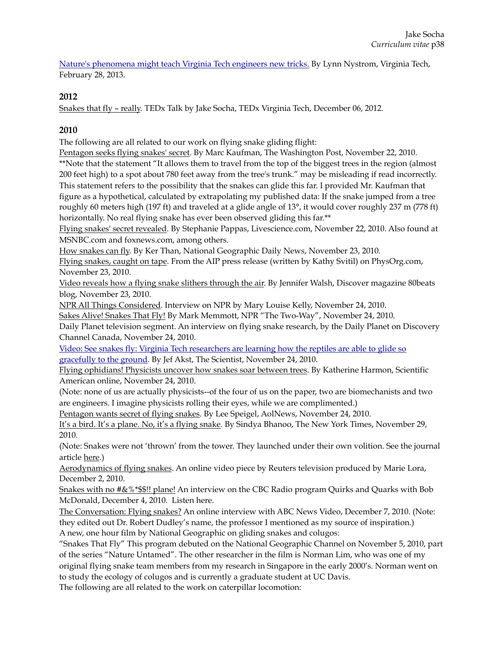[Nature's phenomena might teach Virginia Tech engineers new tricks.](https://www.beam.vt.edu/about/newsStory.php?id=48) By Lynn Nystrom, Virginia Tech, February 28, 2013.

## **2012**

[Snakes that fly – really.](http://tedxtalks.ted.com/video/How-Snakes-Fly-Jake-Socha-at-TE) TEDx Talk by Jake Socha, TEDx Virginia Tech, December 06, 2012.

## **2010**

The following are all related to our work on flying snake gliding flight:

[Pentagon seeks flying snakes' secret](http://www.washingtonpost.com/wp-dyn/content/article/2010/11/22/AR2010112207014.html). By Marc Kaufman, The Washington Post, November 22, 2010.

\*\*Note that the statement "It allows them to travel from the top of the biggest trees in the region (almost 200 feet high) to a spot about 780 feet away from the tree's trunk." may be misleading if read incorrectly. This statement refers to the possibility that the snakes can glide this far. I provided Mr. Kaufman that figure as a hypothetical, calculated by extrapolating my published data: If the snake jumped from a tree

roughly 60 meters high (197 ft) and traveled at a glide angle of 13°, it would cover roughly 237 m (778 ft) horizontally. No real flying snake has ever been observed gliding this far.\*\*

[Flying snakes' secret revealed.](http://www.livescience.com/animals/flying-snakes-secrets-revealed-101122.html) By Stephanie Pappas, Livescience.com, November 22, 2010. Also found at MSNBC.com and foxnews.com, among others.

[How snakes can fly.](http://news.nationalgeographic.com/news/2010/11/101124-flying-snakes-fly-science-darpa-dod-socha/) By Ker Than, National Geographic Daily News, November 23, 2010.

[Flying snakes, caught on tape.](http://phys.org/news/2010-11-snakes-caught-tape.html) From the AIP press release (written by Kathy Svitil) on PhysOrg.com, November 23, 2010.

[Video reveals how a flying snake slithers through the air.](http://blogs.discovermagazine.com/80beats/2010/11/23/video-reveals-how-a-flying-snake-slithers-through-the-air/#.VZ1MjflVhBc) By Jennifer Walsh, Discover magazine 80beats blog, November 23, 2010.

[NPR All Things Considered](http://www.npr.org/player/v2/mediaPlayer.html?action=1&t=1&islist=false&id=131572514&m=131575572). Interview on NPR by Mary Louise Kelly, November 24, 2010.

[Sakes Alive! Snakes That Fly!](http://www.npr.org/sections/thetwo-way/2010/11/24/131572514/sakes-alive-snakes-that-fly) By Mark Memmott, NPR "The Two-Way", November 24, 2010.

Daily Planet television segment. An interview on flying snake research, by the Daily Planet on Discovery Channel Canada, November 24, 2010.

[Video: See snakes fly: Virginia Tech researchers are learning how the reptiles are able to glide so](http://www.the-scientist.com/?articles.view/articleNo/29372/title/Video--See-snakes-fly/)  [gracefully to the ground](http://www.the-scientist.com/?articles.view/articleNo/29372/title/Video--See-snakes-fly/). By Jef Akst, The Scientist, November 24, 2010.

[Flying ophidians! Physicists uncover how snakes soar between trees](http://blogs.scientificamerican.com/observations/flying-ophidians-physicists-uncover-how-snakes-soar-between-trees-video/). By Katherine Harmon, Scientific American online, November 24, 2010.

(Note: none of us are actually physicists--of the four of us on the paper, two are biomechanists and two are engineers. I imagine physicists rolling their eyes, while we are complimented.)

[Pentagon wants secret of flying snakes.](http://people.tribe.net/carpenternj/blog/104c85e4-dddb-472b-bf9d-e042c298efad) By Lee Speigel, AolNews, November 24, 2010.

[It's a bird. It's a plane. No, it's a flying snake](http://www.nytimes.com/2010/11/30/science/30obflight.html). By Sindya Bhanoo, The New York Times, November 29, 2010.

(Note: Snakes were not 'thrown' from the tower. They launched under their own volition. See the journal article [here.](https://a18ecb65-5d3d-4cf0-bc02-191b1c129402.filesusr.com/ugd/fcf203_fa2cb44035ad4a53909127548d8a1731.pdf))

[Aerodynamics of flying snakes.](http://www.reuters.com/video/2010/12/02/aerodynamics-of-flying-snakes?videoId=166000559) An online video piece by Reuters television produced by Marie Lora, December 2, 2010.

[Snakes with no #&%\\*\\$\\$!! plane!](http://www.cbc.ca/player/Radio/Quirks+and+Quarks/Full+Episodes/2010/ID/1681341849/) An interview on the CBC Radio program Quirks and Quarks with Bob McDonald, December 4, 2010. Listen here.

[The Conversation: Flying snakes?](http://abcnews.go.com/WNT/video/conversation-snakes-flying-12332675) An online interview with ABC News Video, December 7, 2010. (Note: they edited out Dr. Robert Dudley's name, the professor I mentioned as my source of inspiration.) A new, one hour film by National Geographic on gliding snakes and colugos:

"Snakes That Fly" This program debuted on the National Geographic Channel on November 5, 2010, part of the series "Nature Untamed". The other researcher in the film is Norman Lim, who was one of my original flying snake team members from my research in Singapore in the early 2000's. Norman went on to study the ecology of colugos and is currently a graduate student at UC Davis.

The following are all related to the work on caterpillar locomotion: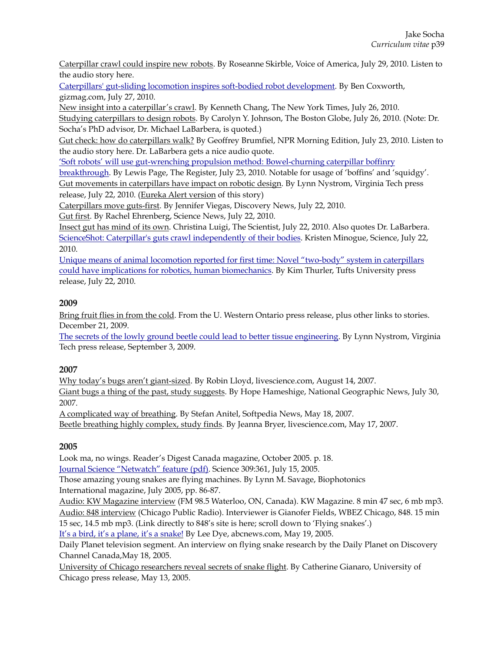[Caterpillar crawl could inspire new robots.](http://www.voanews.com/content/caterpillar-crawl-could-inspire-new-robotic-designs-99545754/171209.html) By Roseanne Skirble, Voice of America, July 29, 2010. Listen to the audio story here.

[Caterpillars' gut-sliding locomotion inspires soft-bodied robot development.](http://www.gizmag.com/caterpillar-robot/15844/) By Ben Coxworth, gizmag.com, July 27, 2010.

[New insight into a caterpillar's crawl](http://www.nytimes.com/2010/07/27/science/27obslither.html?_r=0). By Kenneth Chang, The New York Times, July 26, 2010. [Studying caterpillars to design robots.](http://www.boston.com/business/technology/articles/2010/07/26/as_worms_move_so_might_robots/?page=full) By Carolyn Y. Johnson, The Boston Globe, July 26, 2010. (Note: Dr. Socha's PhD advisor, Dr. Michael LaBarbera, is quoted.)

[Gut check: how do caterpillars walk?](http://www.npr.org/templates/story/story.php?storyId=128695206) By Geoffrey Brumfiel, NPR Morning Edition, July 23, 2010. Listen to the audio story here. Dr. LaBarbera gets a nice audio quote.

['Soft robots' will use gut-wrenching propulsion method: Bowel-churning caterpillar boffinry](http://www.theregister.co.uk/2010/07/23/caterpillar_gut_pumpo/) 

[breakthrough](http://www.theregister.co.uk/2010/07/23/caterpillar_gut_pumpo/). By Lewis Page, The Register, July 23, 2010. Notable for usage of 'boffins' and 'squidgy'. [Gut movements in caterpillars have impact on robotic design.](http://www.esm.vt.edu/news/articles/2010/news-article-2010-07-22-286.html) By Lynn Nystrom, Virginia Tech press release, July 22, 2010. ([Eureka Alert version](http://www.eurekalert.org/pub_releases/2010-07/cp-ccl071510.php) of this story)

[Caterpillars move guts-first.](http://news.discovery.com/animals/zoo-animals/caterpillar-locomotion-crawl.htm) By Jennifer Viegas, Discovery News, July 22, 2010.

[Gut first](https://www.sciencenews.org/article/gut-first). By Rachel Ehrenberg, Science News, July 22, 2010.

[Insect gut has mind of its own](http://www.the-scientist.com/?articles.view/articleNo/29155/title/Insect-gut-has-mind-of-its-own/). Christina Luigi, The Scientist, July 22, 2010. Also quotes Dr. LaBarbera. [ScienceShot: Caterpillar's guts crawl independently of their bodies](http://news.sciencemag.org/2010/07/scienceshot-caterpillars-guts-crawl-independently-their-bodies). Kristen Minogue, Science, July 22, 2010.

[Unique means of animal locomotion reported for first time: Novel "two-body" system in caterpillars](http://now.tufts.edu/news-releases/animal-locomotion)  [could have implications for robotics, human biomechanics.](http://now.tufts.edu/news-releases/animal-locomotion) By Kim Thurler, Tufts University press release, July 22, 2010.

## **2009**

[Bring fruit flies in from the cold.](http://www.aps.anl.gov/News/APS_News/Content/APS_NEWS_20091221.php) From the U. Western Ontario press release, plus other links to stories. December 21, 2009.

[The secrets of the lowly ground beetle could lead to better tissue engineering](http://www.eng.vt.edu/news/secrets-lowly-ground-beetle-could-lead-better-tissue-engineering). By Lynn Nystrom, Virginia Tech press release, September 3, 2009.

## **2007**

[Why today's bugs aren't giant-sized.](http://www.nbcnews.com/id/20265185/#.VZ1n9flVhBc) By Robin Lloyd, livescience.com, August 14, 2007. [Giant bugs a thing of the past, study suggests](http://news.nationalgeographic.com/news/2007/07/070730-giant-insects.html). By Hope Hameshige, National Geographic News, July 30, 2007.

[A complicated way of breathing.](http://news.softpedia.com/news/A-Complicated-Way-of-Breathing-55075.shtml) By Stefan Anitel, Softpedia News, May 18, 2007.

[Beetle breathing highly complex, study finds.](http://www.nbcnews.com/id/18744519/#.VZ1oJPlVhBc) By Jeanna Bryer, livescience.com, May 17, 2007.

## **2005**

Look ma, no wings. Reader's Digest Canada magazine, October 2005. p. 18.

[Journal Science "Netwatch" feature \(pdf\)](http://www2.esm.vt.edu/~jjsocha/socha_lab/Press_files/Science_Netwatch_2005.pdf). Science 309:361, July 15, 2005.

Those amazing young snakes are flying machines. By Lynn M. Savage, Biophotonics International magazine, July 2005, pp. 86-87.

[Audio: KW Magazine interview](http://www2.esm.vt.edu/~jjsocha/socha_lab/Press_files/KW_magazine_Interview.mp3) (FM 98.5 Waterloo, ON, Canada). KW Magazine. 8 min 47 sec, 6 mb mp3. [Audio: 848 interview](http://www2.esm.vt.edu/~jjsocha/socha_lab/Press_files/848_fs_interview.mp3) (Chicago Public Radio). Interviewer is Gianofer Fields, WBEZ Chicago, 848. 15 min 15 sec, 14.5 mb mp3. (Link directly to 848's site is here; scroll down to 'Flying snakes'.)

[It's a bird, it's a plane, it's a snake!](http://abcnews.go.com/Technology/DyeHard/Story?id=768463&page=1) By Lee Dye, abcnews.com, May 19, 2005.

Daily Planet television segment. An interview on flying snake research by the Daily Planet on Discovery Channel Canada,May 18, 2005.

[University of Chicago researchers reveal secrets of snake flight.](http://www.uchospitals.edu/news/2005/20050513-snake.html) By Catherine Gianaro, University of Chicago press release, May 13, 2005.